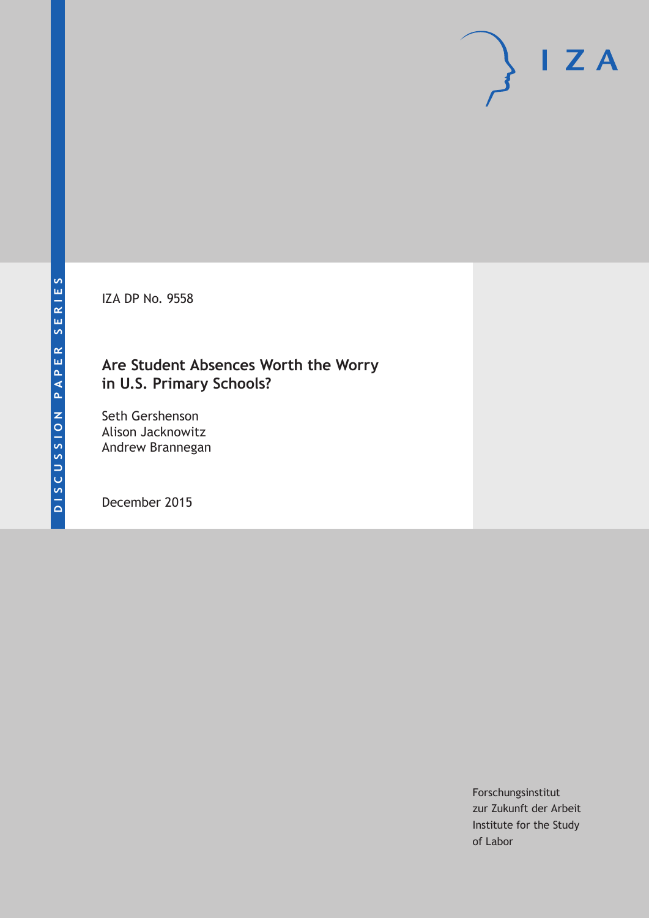IZA DP No. 9558

# **Are Student Absences Worth the Worry in U.S. Primary Schools?**

Seth Gershenson Alison Jacknowitz Andrew Brannegan

December 2015

Forschungsinstitut zur Zukunft der Arbeit Institute for the Study of Labor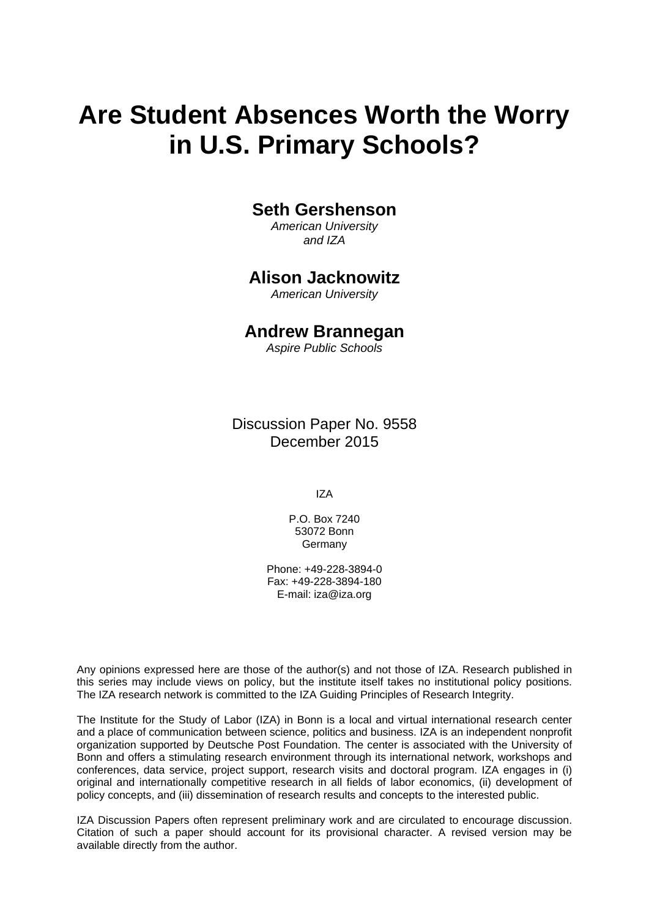# **Are Student Absences Worth the Worry in U.S. Primary Schools?**

## **Seth Gershenson**

*American University and IZA* 

## **Alison Jacknowitz**

*American University* 

### **Andrew Brannegan**

*Aspire Public Schools*

Discussion Paper No. 9558 December 2015

IZA

P.O. Box 7240 53072 Bonn Germany

Phone: +49-228-3894-0 Fax: +49-228-3894-180 E-mail: iza@iza.org

Any opinions expressed here are those of the author(s) and not those of IZA. Research published in this series may include views on policy, but the institute itself takes no institutional policy positions. The IZA research network is committed to the IZA Guiding Principles of Research Integrity.

The Institute for the Study of Labor (IZA) in Bonn is a local and virtual international research center and a place of communication between science, politics and business. IZA is an independent nonprofit organization supported by Deutsche Post Foundation. The center is associated with the University of Bonn and offers a stimulating research environment through its international network, workshops and conferences, data service, project support, research visits and doctoral program. IZA engages in (i) original and internationally competitive research in all fields of labor economics, (ii) development of policy concepts, and (iii) dissemination of research results and concepts to the interested public.

IZA Discussion Papers often represent preliminary work and are circulated to encourage discussion. Citation of such a paper should account for its provisional character. A revised version may be available directly from the author.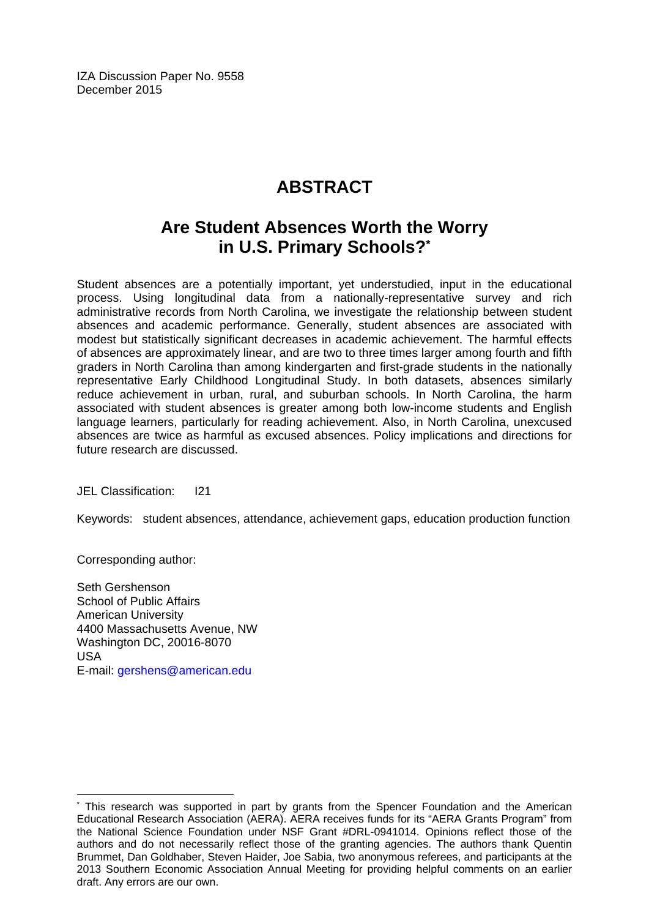IZA Discussion Paper No. 9558 December 2015

# **ABSTRACT**

# **Are Student Absences Worth the Worry in U.S. Primary Schools?\***

Student absences are a potentially important, yet understudied, input in the educational process. Using longitudinal data from a nationally-representative survey and rich administrative records from North Carolina, we investigate the relationship between student absences and academic performance. Generally, student absences are associated with modest but statistically significant decreases in academic achievement. The harmful effects of absences are approximately linear, and are two to three times larger among fourth and fifth graders in North Carolina than among kindergarten and first-grade students in the nationally representative Early Childhood Longitudinal Study. In both datasets, absences similarly reduce achievement in urban, rural, and suburban schools. In North Carolina, the harm associated with student absences is greater among both low-income students and English language learners, particularly for reading achievement. Also, in North Carolina, unexcused absences are twice as harmful as excused absences. Policy implications and directions for future research are discussed.

JEL Classification: I21

Keywords: student absences, attendance, achievement gaps, education production function

Corresponding author:

 $\overline{a}$ 

Seth Gershenson School of Public Affairs American University 4400 Massachusetts Avenue, NW Washington DC, 20016-8070 USA E-mail: gershens@american.edu

<sup>\*</sup> This research was supported in part by grants from the Spencer Foundation and the American Educational Research Association (AERA). AERA receives funds for its "AERA Grants Program" from the National Science Foundation under NSF Grant #DRL-0941014. Opinions reflect those of the authors and do not necessarily reflect those of the granting agencies. The authors thank Quentin Brummet, Dan Goldhaber, Steven Haider, Joe Sabia, two anonymous referees, and participants at the 2013 Southern Economic Association Annual Meeting for providing helpful comments on an earlier draft. Any errors are our own.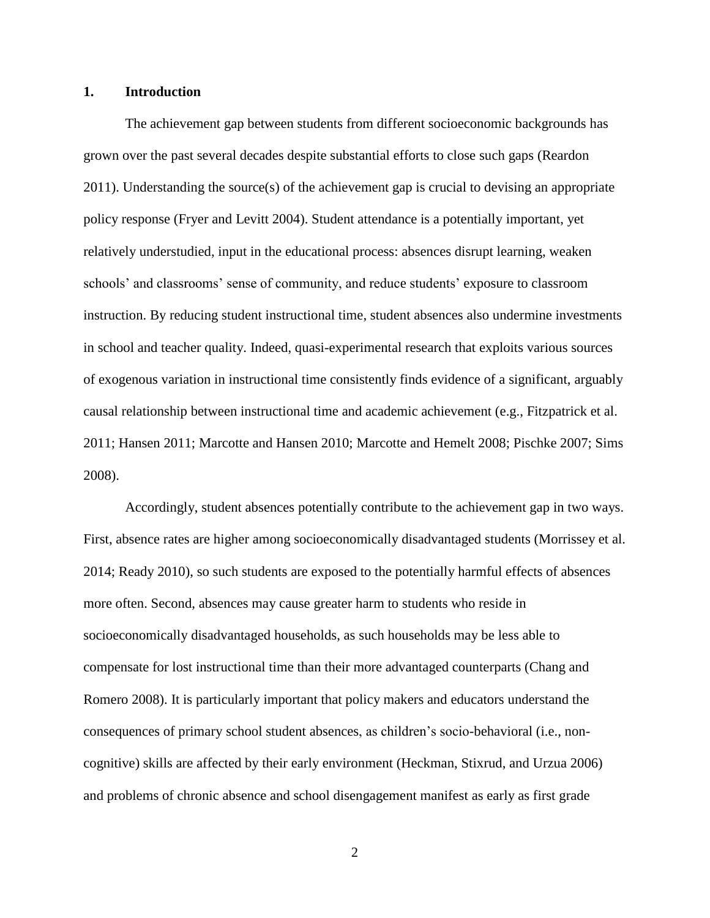#### **1. Introduction**

The achievement gap between students from different socioeconomic backgrounds has grown over the past several decades despite substantial efforts to close such gaps (Reardon 2011). Understanding the source(s) of the achievement gap is crucial to devising an appropriate policy response (Fryer and Levitt 2004). Student attendance is a potentially important, yet relatively understudied, input in the educational process: absences disrupt learning, weaken schools' and classrooms' sense of community, and reduce students' exposure to classroom instruction. By reducing student instructional time, student absences also undermine investments in school and teacher quality. Indeed, quasi-experimental research that exploits various sources of exogenous variation in instructional time consistently finds evidence of a significant, arguably causal relationship between instructional time and academic achievement (e.g., Fitzpatrick et al. 2011; Hansen 2011; Marcotte and Hansen 2010; Marcotte and Hemelt 2008; Pischke 2007; Sims 2008).

Accordingly, student absences potentially contribute to the achievement gap in two ways. First, absence rates are higher among socioeconomically disadvantaged students (Morrissey et al. 2014; Ready 2010), so such students are exposed to the potentially harmful effects of absences more often. Second, absences may cause greater harm to students who reside in socioeconomically disadvantaged households, as such households may be less able to compensate for lost instructional time than their more advantaged counterparts (Chang and Romero 2008). It is particularly important that policy makers and educators understand the consequences of primary school student absences, as children's socio-behavioral (i.e., noncognitive) skills are affected by their early environment (Heckman, Stixrud, and Urzua 2006) and problems of chronic absence and school disengagement manifest as early as first grade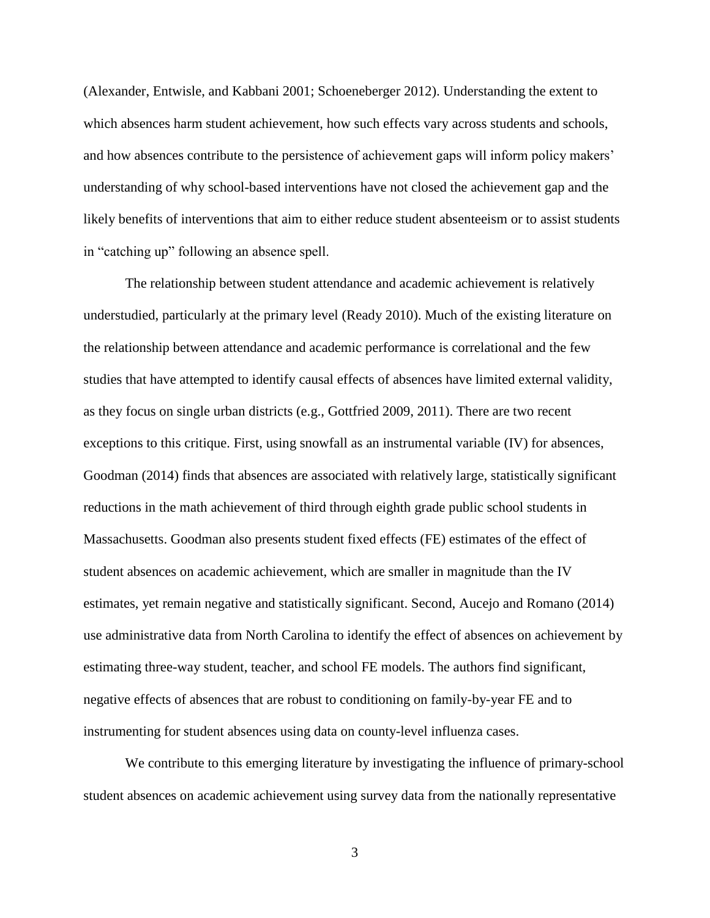(Alexander, Entwisle, and Kabbani 2001; Schoeneberger 2012). Understanding the extent to which absences harm student achievement, how such effects vary across students and schools, and how absences contribute to the persistence of achievement gaps will inform policy makers' understanding of why school-based interventions have not closed the achievement gap and the likely benefits of interventions that aim to either reduce student absenteeism or to assist students in "catching up" following an absence spell.

The relationship between student attendance and academic achievement is relatively understudied, particularly at the primary level (Ready 2010). Much of the existing literature on the relationship between attendance and academic performance is correlational and the few studies that have attempted to identify causal effects of absences have limited external validity, as they focus on single urban districts (e.g., Gottfried 2009, 2011). There are two recent exceptions to this critique. First, using snowfall as an instrumental variable (IV) for absences, Goodman (2014) finds that absences are associated with relatively large, statistically significant reductions in the math achievement of third through eighth grade public school students in Massachusetts. Goodman also presents student fixed effects (FE) estimates of the effect of student absences on academic achievement, which are smaller in magnitude than the IV estimates, yet remain negative and statistically significant. Second, Aucejo and Romano (2014) use administrative data from North Carolina to identify the effect of absences on achievement by estimating three-way student, teacher, and school FE models. The authors find significant, negative effects of absences that are robust to conditioning on family-by-year FE and to instrumenting for student absences using data on county-level influenza cases.

We contribute to this emerging literature by investigating the influence of primary-school student absences on academic achievement using survey data from the nationally representative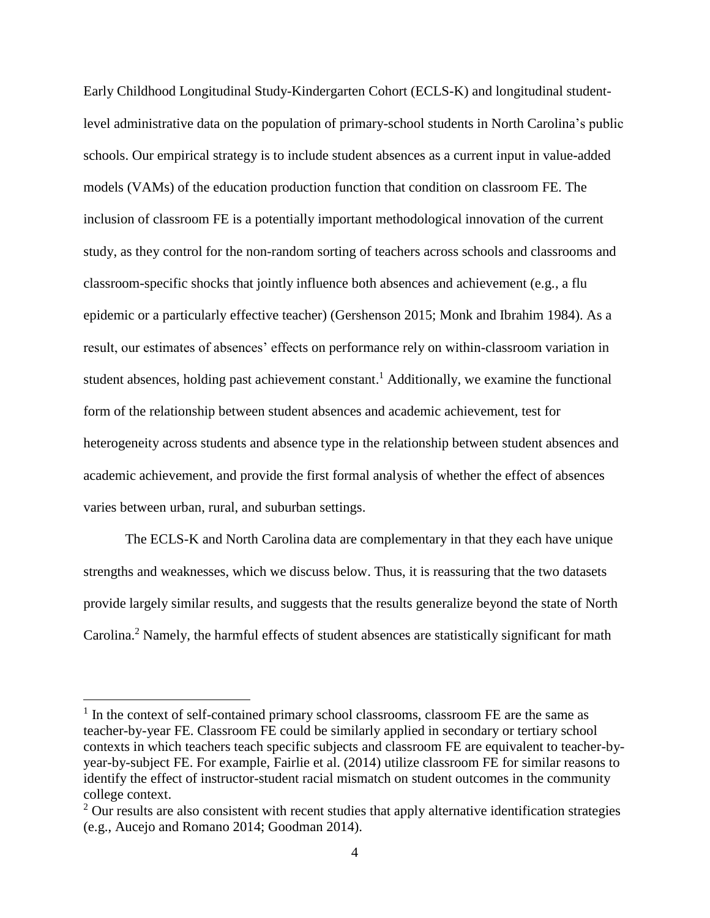Early Childhood Longitudinal Study-Kindergarten Cohort (ECLS-K) and longitudinal studentlevel administrative data on the population of primary-school students in North Carolina's public schools. Our empirical strategy is to include student absences as a current input in value-added models (VAMs) of the education production function that condition on classroom FE. The inclusion of classroom FE is a potentially important methodological innovation of the current study, as they control for the non-random sorting of teachers across schools and classrooms and classroom-specific shocks that jointly influence both absences and achievement (e.g., a flu epidemic or a particularly effective teacher) (Gershenson 2015; Monk and Ibrahim 1984). As a result, our estimates of absences' effects on performance rely on within-classroom variation in student absences, holding past achievement constant.<sup>1</sup> Additionally, we examine the functional form of the relationship between student absences and academic achievement, test for heterogeneity across students and absence type in the relationship between student absences and academic achievement, and provide the first formal analysis of whether the effect of absences varies between urban, rural, and suburban settings.

The ECLS-K and North Carolina data are complementary in that they each have unique strengths and weaknesses, which we discuss below. Thus, it is reassuring that the two datasets provide largely similar results, and suggests that the results generalize beyond the state of North Carolina.<sup>2</sup> Namely, the harmful effects of student absences are statistically significant for math

<sup>&</sup>lt;sup>1</sup> In the context of self-contained primary school classrooms, classroom FE are the same as teacher-by-year FE. Classroom FE could be similarly applied in secondary or tertiary school contexts in which teachers teach specific subjects and classroom FE are equivalent to teacher-byyear-by-subject FE. For example, Fairlie et al. (2014) utilize classroom FE for similar reasons to identify the effect of instructor-student racial mismatch on student outcomes in the community college context.

 $2$  Our results are also consistent with recent studies that apply alternative identification strategies (e.g., Aucejo and Romano 2014; Goodman 2014).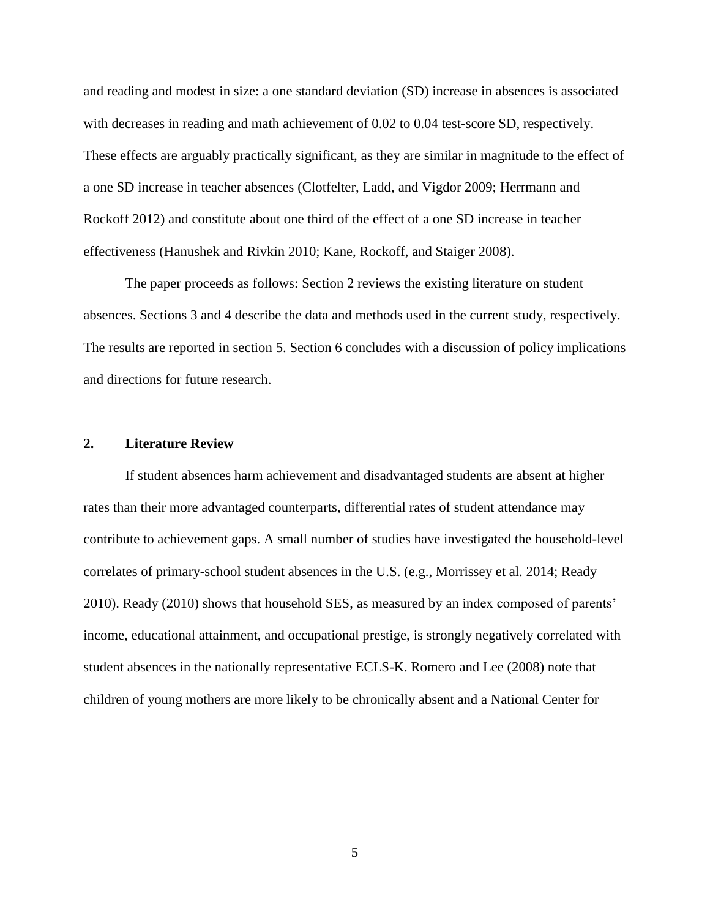and reading and modest in size: a one standard deviation (SD) increase in absences is associated with decreases in reading and math achievement of 0.02 to 0.04 test-score SD, respectively. These effects are arguably practically significant, as they are similar in magnitude to the effect of a one SD increase in teacher absences (Clotfelter, Ladd, and Vigdor 2009; Herrmann and Rockoff 2012) and constitute about one third of the effect of a one SD increase in teacher effectiveness (Hanushek and Rivkin 2010; Kane, Rockoff, and Staiger 2008).

The paper proceeds as follows: Section 2 reviews the existing literature on student absences. Sections 3 and 4 describe the data and methods used in the current study, respectively. The results are reported in section 5. Section 6 concludes with a discussion of policy implications and directions for future research.

#### **2. Literature Review**

If student absences harm achievement and disadvantaged students are absent at higher rates than their more advantaged counterparts, differential rates of student attendance may contribute to achievement gaps. A small number of studies have investigated the household-level correlates of primary-school student absences in the U.S. (e.g., Morrissey et al. 2014; Ready 2010). Ready (2010) shows that household SES, as measured by an index composed of parents' income, educational attainment, and occupational prestige, is strongly negatively correlated with student absences in the nationally representative ECLS-K. Romero and Lee (2008) note that children of young mothers are more likely to be chronically absent and a National Center for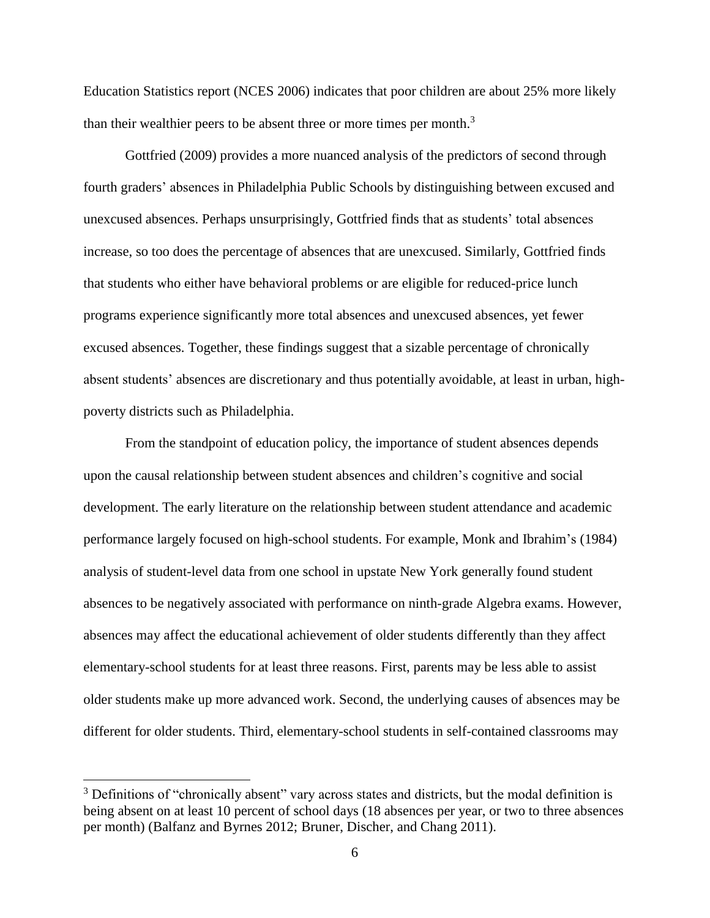Education Statistics report (NCES 2006) indicates that poor children are about 25% more likely than their wealthier peers to be absent three or more times per month.<sup>3</sup>

Gottfried (2009) provides a more nuanced analysis of the predictors of second through fourth graders' absences in Philadelphia Public Schools by distinguishing between excused and unexcused absences. Perhaps unsurprisingly, Gottfried finds that as students' total absences increase, so too does the percentage of absences that are unexcused. Similarly, Gottfried finds that students who either have behavioral problems or are eligible for reduced-price lunch programs experience significantly more total absences and unexcused absences, yet fewer excused absences. Together, these findings suggest that a sizable percentage of chronically absent students' absences are discretionary and thus potentially avoidable, at least in urban, highpoverty districts such as Philadelphia.

From the standpoint of education policy, the importance of student absences depends upon the causal relationship between student absences and children's cognitive and social development. The early literature on the relationship between student attendance and academic performance largely focused on high-school students. For example, Monk and Ibrahim's (1984) analysis of student-level data from one school in upstate New York generally found student absences to be negatively associated with performance on ninth-grade Algebra exams. However, absences may affect the educational achievement of older students differently than they affect elementary-school students for at least three reasons. First, parents may be less able to assist older students make up more advanced work. Second, the underlying causes of absences may be different for older students. Third, elementary-school students in self-contained classrooms may

<sup>&</sup>lt;sup>3</sup> Definitions of "chronically absent" vary across states and districts, but the modal definition is being absent on at least 10 percent of school days (18 absences per year, or two to three absences per month) (Balfanz and Byrnes 2012; Bruner, Discher, and Chang 2011).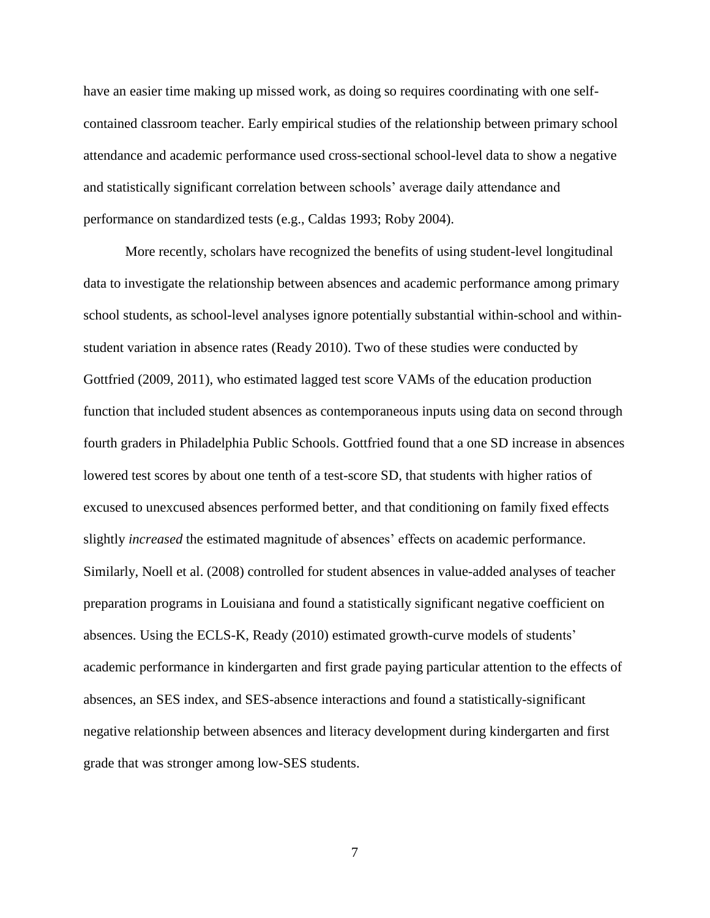have an easier time making up missed work, as doing so requires coordinating with one selfcontained classroom teacher. Early empirical studies of the relationship between primary school attendance and academic performance used cross-sectional school-level data to show a negative and statistically significant correlation between schools' average daily attendance and performance on standardized tests (e.g., Caldas 1993; Roby 2004).

More recently, scholars have recognized the benefits of using student-level longitudinal data to investigate the relationship between absences and academic performance among primary school students, as school-level analyses ignore potentially substantial within-school and withinstudent variation in absence rates (Ready 2010). Two of these studies were conducted by Gottfried (2009, 2011), who estimated lagged test score VAMs of the education production function that included student absences as contemporaneous inputs using data on second through fourth graders in Philadelphia Public Schools. Gottfried found that a one SD increase in absences lowered test scores by about one tenth of a test-score SD, that students with higher ratios of excused to unexcused absences performed better, and that conditioning on family fixed effects slightly *increased* the estimated magnitude of absences' effects on academic performance. Similarly, Noell et al. (2008) controlled for student absences in value-added analyses of teacher preparation programs in Louisiana and found a statistically significant negative coefficient on absences. Using the ECLS-K, Ready (2010) estimated growth-curve models of students' academic performance in kindergarten and first grade paying particular attention to the effects of absences, an SES index, and SES-absence interactions and found a statistically-significant negative relationship between absences and literacy development during kindergarten and first grade that was stronger among low-SES students.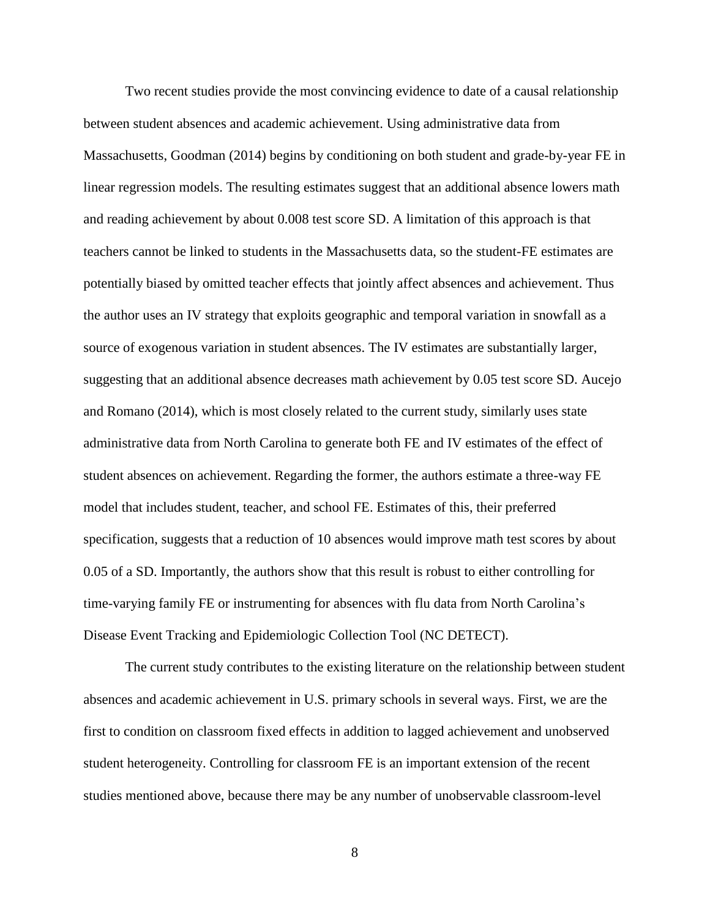Two recent studies provide the most convincing evidence to date of a causal relationship between student absences and academic achievement. Using administrative data from Massachusetts, Goodman (2014) begins by conditioning on both student and grade-by-year FE in linear regression models. The resulting estimates suggest that an additional absence lowers math and reading achievement by about 0.008 test score SD. A limitation of this approach is that teachers cannot be linked to students in the Massachusetts data, so the student-FE estimates are potentially biased by omitted teacher effects that jointly affect absences and achievement. Thus the author uses an IV strategy that exploits geographic and temporal variation in snowfall as a source of exogenous variation in student absences. The IV estimates are substantially larger, suggesting that an additional absence decreases math achievement by 0.05 test score SD. Aucejo and Romano (2014), which is most closely related to the current study, similarly uses state administrative data from North Carolina to generate both FE and IV estimates of the effect of student absences on achievement. Regarding the former, the authors estimate a three-way FE model that includes student, teacher, and school FE. Estimates of this, their preferred specification, suggests that a reduction of 10 absences would improve math test scores by about 0.05 of a SD. Importantly, the authors show that this result is robust to either controlling for time-varying family FE or instrumenting for absences with flu data from North Carolina's Disease Event Tracking and Epidemiologic Collection Tool (NC DETECT).

The current study contributes to the existing literature on the relationship between student absences and academic achievement in U.S. primary schools in several ways. First, we are the first to condition on classroom fixed effects in addition to lagged achievement and unobserved student heterogeneity. Controlling for classroom FE is an important extension of the recent studies mentioned above, because there may be any number of unobservable classroom-level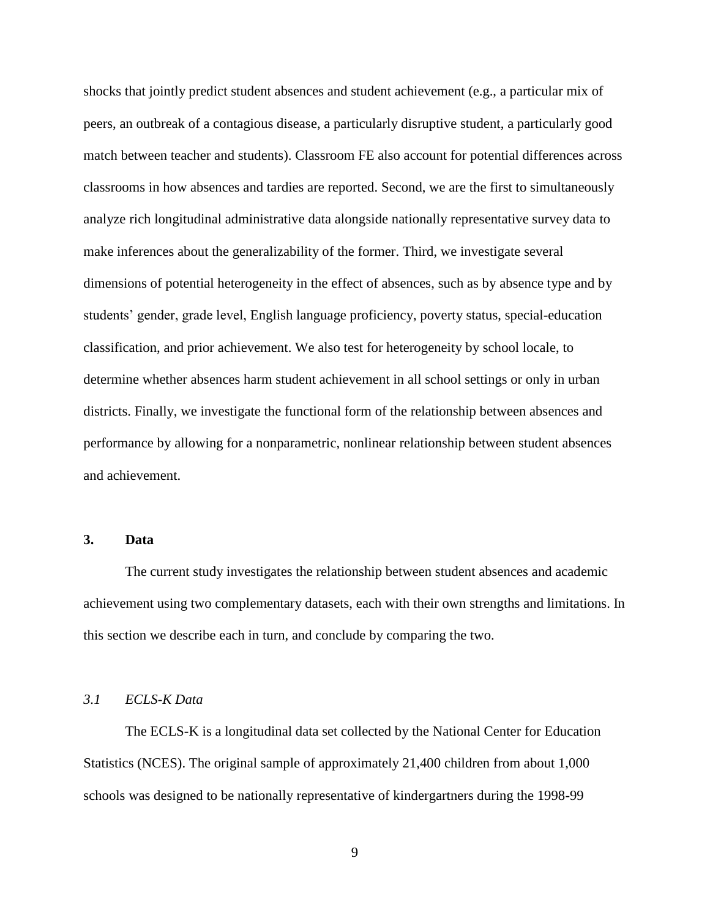shocks that jointly predict student absences and student achievement (e.g., a particular mix of peers, an outbreak of a contagious disease, a particularly disruptive student, a particularly good match between teacher and students). Classroom FE also account for potential differences across classrooms in how absences and tardies are reported. Second, we are the first to simultaneously analyze rich longitudinal administrative data alongside nationally representative survey data to make inferences about the generalizability of the former. Third, we investigate several dimensions of potential heterogeneity in the effect of absences, such as by absence type and by students' gender, grade level, English language proficiency, poverty status, special-education classification, and prior achievement. We also test for heterogeneity by school locale, to determine whether absences harm student achievement in all school settings or only in urban districts. Finally, we investigate the functional form of the relationship between absences and performance by allowing for a nonparametric, nonlinear relationship between student absences and achievement.

#### **3. Data**

The current study investigates the relationship between student absences and academic achievement using two complementary datasets, each with their own strengths and limitations. In this section we describe each in turn, and conclude by comparing the two.

#### *3.1 ECLS-K Data*

The ECLS-K is a longitudinal data set collected by the National Center for Education Statistics (NCES). The original sample of approximately 21,400 children from about 1,000 schools was designed to be nationally representative of kindergartners during the 1998-99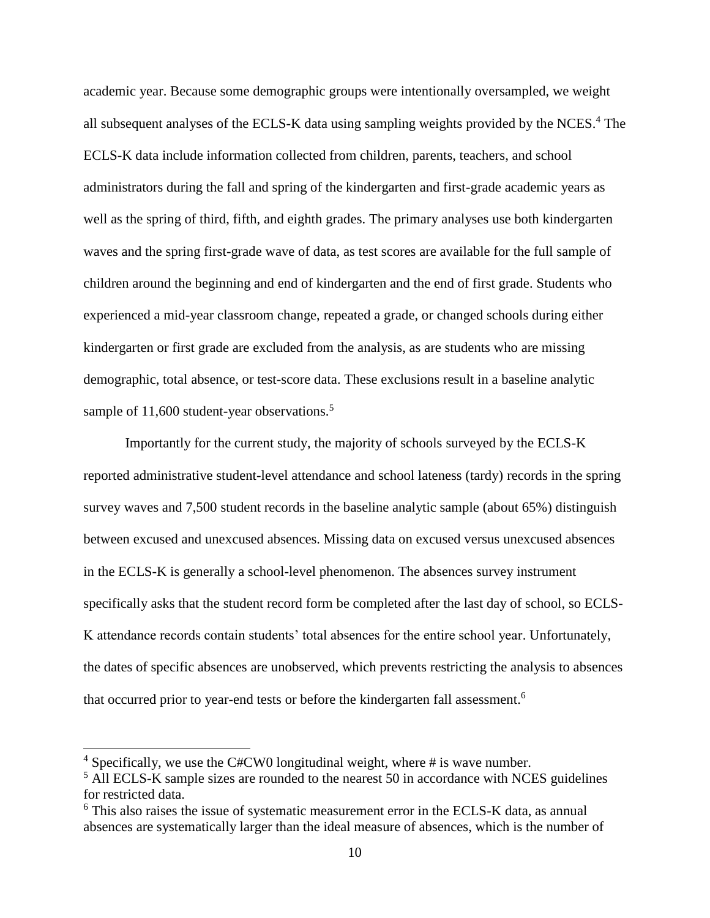academic year. Because some demographic groups were intentionally oversampled, we weight all subsequent analyses of the ECLS-K data using sampling weights provided by the NCES.<sup>4</sup> The ECLS-K data include information collected from children, parents, teachers, and school administrators during the fall and spring of the kindergarten and first-grade academic years as well as the spring of third, fifth, and eighth grades. The primary analyses use both kindergarten waves and the spring first-grade wave of data, as test scores are available for the full sample of children around the beginning and end of kindergarten and the end of first grade. Students who experienced a mid-year classroom change, repeated a grade, or changed schools during either kindergarten or first grade are excluded from the analysis, as are students who are missing demographic, total absence, or test-score data. These exclusions result in a baseline analytic sample of 11,600 student-year observations.<sup>5</sup>

Importantly for the current study, the majority of schools surveyed by the ECLS-K reported administrative student-level attendance and school lateness (tardy) records in the spring survey waves and 7,500 student records in the baseline analytic sample (about 65%) distinguish between excused and unexcused absences. Missing data on excused versus unexcused absences in the ECLS-K is generally a school-level phenomenon. The absences survey instrument specifically asks that the student record form be completed after the last day of school, so ECLS-K attendance records contain students' total absences for the entire school year. Unfortunately, the dates of specific absences are unobserved, which prevents restricting the analysis to absences that occurred prior to year-end tests or before the kindergarten fall assessment.<sup>6</sup>

<sup>4</sup> Specifically, we use the C#CW0 longitudinal weight, where # is wave number.

<sup>&</sup>lt;sup>5</sup> All ECLS-K sample sizes are rounded to the nearest 50 in accordance with NCES guidelines for restricted data.

<sup>&</sup>lt;sup>6</sup> This also raises the issue of systematic measurement error in the ECLS-K data, as annual absences are systematically larger than the ideal measure of absences, which is the number of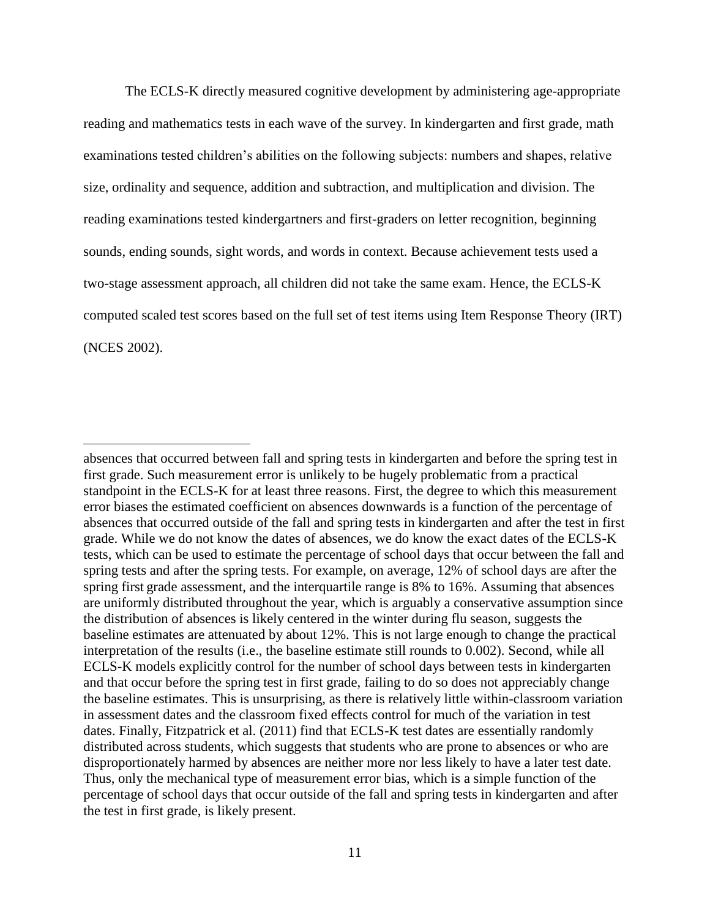The ECLS-K directly measured cognitive development by administering age-appropriate reading and mathematics tests in each wave of the survey. In kindergarten and first grade, math examinations tested children's abilities on the following subjects: numbers and shapes, relative size, ordinality and sequence, addition and subtraction, and multiplication and division. The reading examinations tested kindergartners and first-graders on letter recognition, beginning sounds, ending sounds, sight words, and words in context. Because achievement tests used a two-stage assessment approach, all children did not take the same exam. Hence, the ECLS-K computed scaled test scores based on the full set of test items using Item Response Theory (IRT) (NCES 2002).

absences that occurred between fall and spring tests in kindergarten and before the spring test in first grade. Such measurement error is unlikely to be hugely problematic from a practical standpoint in the ECLS-K for at least three reasons. First, the degree to which this measurement error biases the estimated coefficient on absences downwards is a function of the percentage of absences that occurred outside of the fall and spring tests in kindergarten and after the test in first grade. While we do not know the dates of absences, we do know the exact dates of the ECLS-K tests, which can be used to estimate the percentage of school days that occur between the fall and spring tests and after the spring tests. For example, on average, 12% of school days are after the spring first grade assessment, and the interquartile range is 8% to 16%. Assuming that absences are uniformly distributed throughout the year, which is arguably a conservative assumption since the distribution of absences is likely centered in the winter during flu season, suggests the baseline estimates are attenuated by about 12%. This is not large enough to change the practical interpretation of the results (i.e., the baseline estimate still rounds to 0.002). Second, while all ECLS-K models explicitly control for the number of school days between tests in kindergarten and that occur before the spring test in first grade, failing to do so does not appreciably change the baseline estimates. This is unsurprising, as there is relatively little within-classroom variation in assessment dates and the classroom fixed effects control for much of the variation in test dates. Finally, Fitzpatrick et al. (2011) find that ECLS-K test dates are essentially randomly distributed across students, which suggests that students who are prone to absences or who are disproportionately harmed by absences are neither more nor less likely to have a later test date. Thus, only the mechanical type of measurement error bias, which is a simple function of the percentage of school days that occur outside of the fall and spring tests in kindergarten and after the test in first grade, is likely present.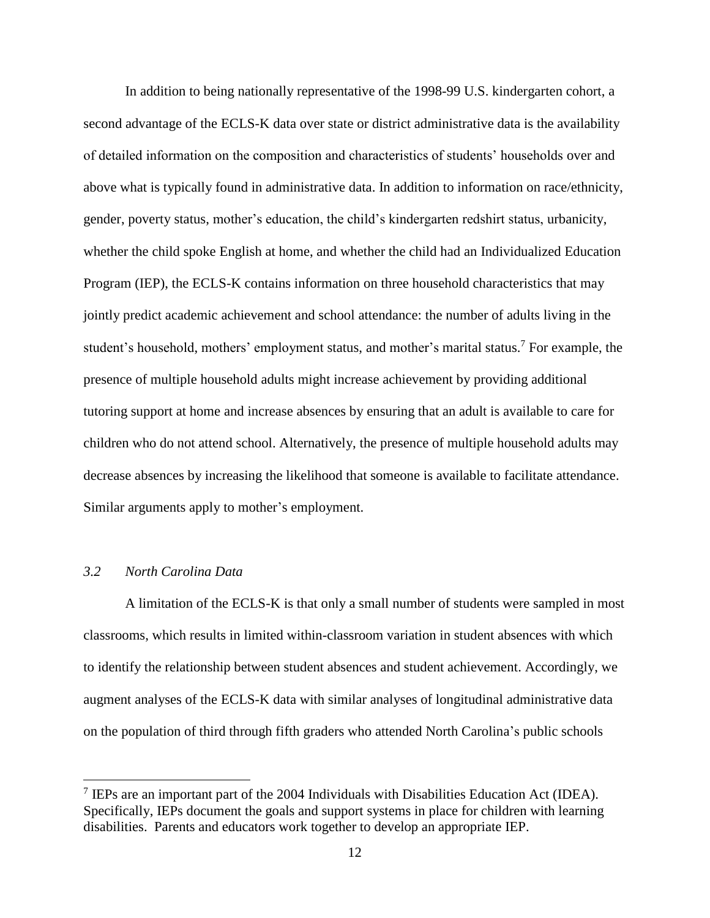In addition to being nationally representative of the 1998-99 U.S. kindergarten cohort, a second advantage of the ECLS-K data over state or district administrative data is the availability of detailed information on the composition and characteristics of students' households over and above what is typically found in administrative data. In addition to information on race/ethnicity, gender, poverty status, mother's education, the child's kindergarten redshirt status, urbanicity, whether the child spoke English at home, and whether the child had an Individualized Education Program (IEP), the ECLS-K contains information on three household characteristics that may jointly predict academic achievement and school attendance: the number of adults living in the student's household, mothers' employment status, and mother's marital status.<sup>7</sup> For example, the presence of multiple household adults might increase achievement by providing additional tutoring support at home and increase absences by ensuring that an adult is available to care for children who do not attend school. Alternatively, the presence of multiple household adults may decrease absences by increasing the likelihood that someone is available to facilitate attendance. Similar arguments apply to mother's employment.

#### *3.2 North Carolina Data*

 $\overline{a}$ 

A limitation of the ECLS-K is that only a small number of students were sampled in most classrooms, which results in limited within-classroom variation in student absences with which to identify the relationship between student absences and student achievement. Accordingly, we augment analyses of the ECLS-K data with similar analyses of longitudinal administrative data on the population of third through fifth graders who attended North Carolina's public schools

<sup>&</sup>lt;sup>7</sup> IEPs are an important part of the 2004 Individuals with Disabilities Education Act (IDEA). Specifically, IEPs document the goals and support systems in place for children with learning disabilities. Parents and educators work together to develop an appropriate IEP.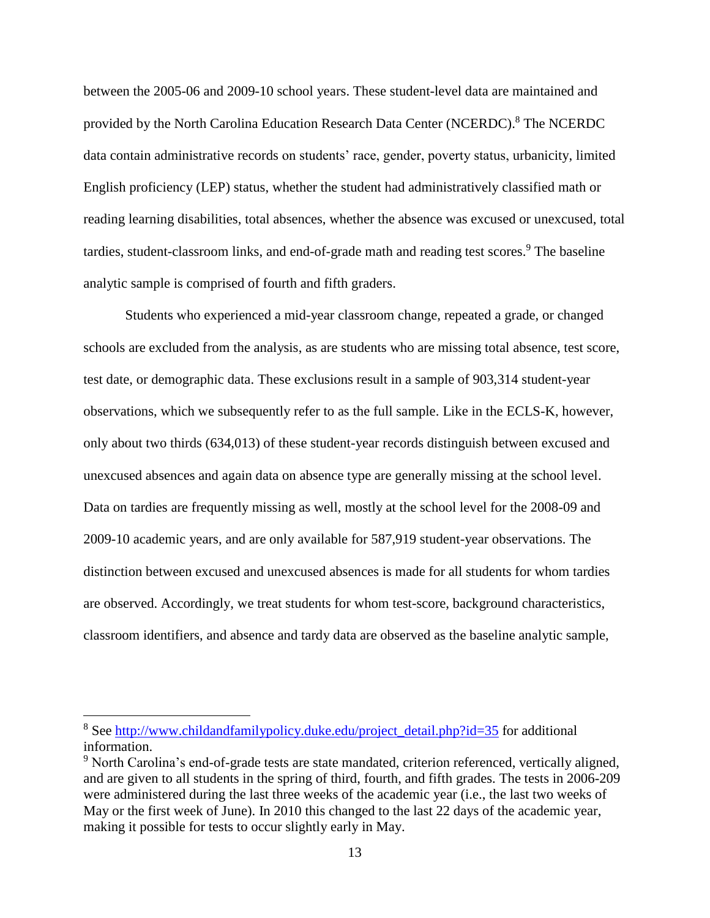between the 2005-06 and 2009-10 school years. These student-level data are maintained and provided by the North Carolina Education Research Data Center (NCERDC).<sup>8</sup> The NCERDC data contain administrative records on students' race, gender, poverty status, urbanicity, limited English proficiency (LEP) status, whether the student had administratively classified math or reading learning disabilities, total absences, whether the absence was excused or unexcused, total tardies, student-classroom links, and end-of-grade math and reading test scores.<sup>9</sup> The baseline analytic sample is comprised of fourth and fifth graders.

Students who experienced a mid-year classroom change, repeated a grade, or changed schools are excluded from the analysis, as are students who are missing total absence, test score, test date, or demographic data. These exclusions result in a sample of 903,314 student-year observations, which we subsequently refer to as the full sample. Like in the ECLS-K, however, only about two thirds (634,013) of these student-year records distinguish between excused and unexcused absences and again data on absence type are generally missing at the school level. Data on tardies are frequently missing as well, mostly at the school level for the 2008-09 and 2009-10 academic years, and are only available for 587,919 student-year observations. The distinction between excused and unexcused absences is made for all students for whom tardies are observed. Accordingly, we treat students for whom test-score, background characteristics, classroom identifiers, and absence and tardy data are observed as the baseline analytic sample,

<sup>8</sup> See [http://www.childandfamilypolicy.duke.edu/project\\_detail.php?id=35](http://www.childandfamilypolicy.duke.edu/project_detail.php?id=35) for additional information.

<sup>9</sup> North Carolina's end-of-grade tests are state mandated, criterion referenced, vertically aligned, and are given to all students in the spring of third, fourth, and fifth grades. The tests in 2006-209 were administered during the last three weeks of the academic year (i.e., the last two weeks of May or the first week of June). In 2010 this changed to the last 22 days of the academic year, making it possible for tests to occur slightly early in May.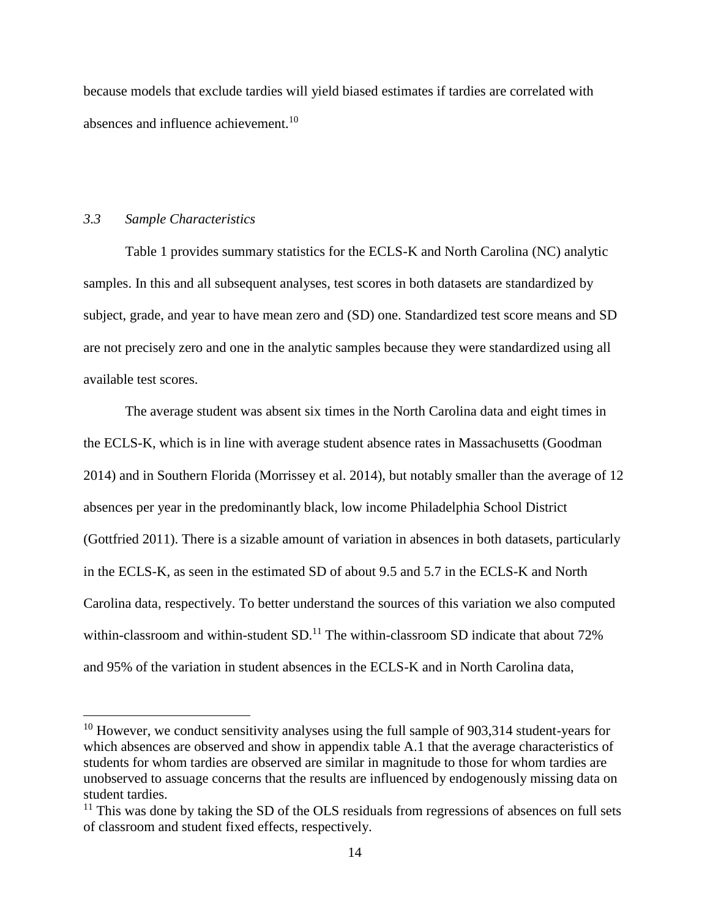because models that exclude tardies will yield biased estimates if tardies are correlated with absences and influence achievement.<sup>10</sup>

#### *3.3 Sample Characteristics*

 $\overline{a}$ 

Table 1 provides summary statistics for the ECLS-K and North Carolina (NC) analytic samples. In this and all subsequent analyses, test scores in both datasets are standardized by subject, grade, and year to have mean zero and (SD) one. Standardized test score means and SD are not precisely zero and one in the analytic samples because they were standardized using all available test scores.

The average student was absent six times in the North Carolina data and eight times in the ECLS-K, which is in line with average student absence rates in Massachusetts (Goodman 2014) and in Southern Florida (Morrissey et al. 2014), but notably smaller than the average of 12 absences per year in the predominantly black, low income Philadelphia School District (Gottfried 2011). There is a sizable amount of variation in absences in both datasets, particularly in the ECLS-K, as seen in the estimated SD of about 9.5 and 5.7 in the ECLS-K and North Carolina data, respectively. To better understand the sources of this variation we also computed within-classroom and within-student  $SD$ .<sup>11</sup> The within-classroom  $SD$  indicate that about 72% and 95% of the variation in student absences in the ECLS-K and in North Carolina data,

 $10$  However, we conduct sensitivity analyses using the full sample of 903,314 student-years for which absences are observed and show in appendix table A.1 that the average characteristics of students for whom tardies are observed are similar in magnitude to those for whom tardies are unobserved to assuage concerns that the results are influenced by endogenously missing data on student tardies.

 $11$  This was done by taking the SD of the OLS residuals from regressions of absences on full sets of classroom and student fixed effects, respectively.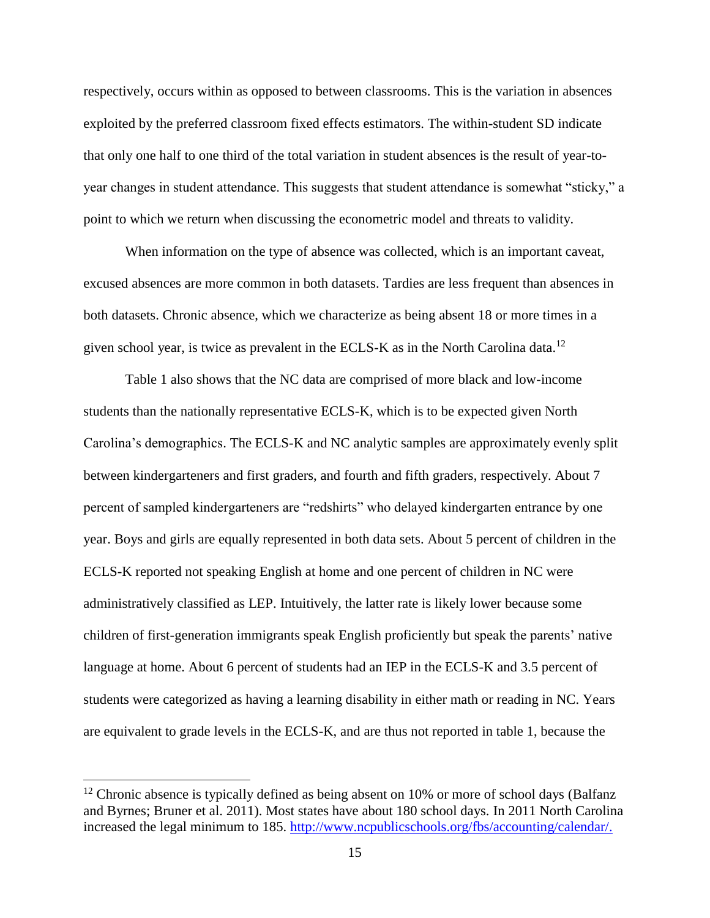respectively, occurs within as opposed to between classrooms. This is the variation in absences exploited by the preferred classroom fixed effects estimators. The within-student SD indicate that only one half to one third of the total variation in student absences is the result of year-toyear changes in student attendance. This suggests that student attendance is somewhat "sticky," a point to which we return when discussing the econometric model and threats to validity.

When information on the type of absence was collected, which is an important caveat, excused absences are more common in both datasets. Tardies are less frequent than absences in both datasets. Chronic absence, which we characterize as being absent 18 or more times in a given school year, is twice as prevalent in the ECLS-K as in the North Carolina data.<sup>12</sup>

Table 1 also shows that the NC data are comprised of more black and low-income students than the nationally representative ECLS-K, which is to be expected given North Carolina's demographics. The ECLS-K and NC analytic samples are approximately evenly split between kindergarteners and first graders, and fourth and fifth graders, respectively. About 7 percent of sampled kindergarteners are "redshirts" who delayed kindergarten entrance by one year. Boys and girls are equally represented in both data sets. About 5 percent of children in the ECLS-K reported not speaking English at home and one percent of children in NC were administratively classified as LEP. Intuitively, the latter rate is likely lower because some children of first-generation immigrants speak English proficiently but speak the parents' native language at home. About 6 percent of students had an IEP in the ECLS-K and 3.5 percent of students were categorized as having a learning disability in either math or reading in NC. Years are equivalent to grade levels in the ECLS-K, and are thus not reported in table 1, because the

 $12$  Chronic absence is typically defined as being absent on 10% or more of school days (Balfanz and Byrnes; Bruner et al. 2011). Most states have about 180 school days. In 2011 North Carolina increased the legal minimum to 185. [http://www.ncpublicschools.org/fbs/accounting/calendar/.](http://www.ncpublicschools.org/fbs/accounting/calendar/)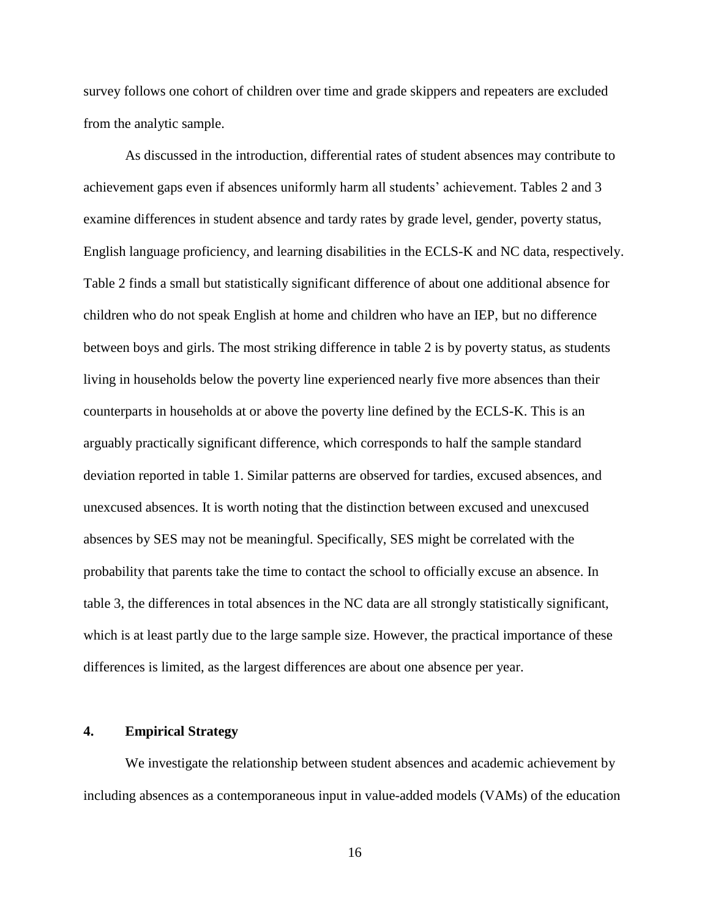survey follows one cohort of children over time and grade skippers and repeaters are excluded from the analytic sample.

As discussed in the introduction, differential rates of student absences may contribute to achievement gaps even if absences uniformly harm all students' achievement. Tables 2 and 3 examine differences in student absence and tardy rates by grade level, gender, poverty status, English language proficiency, and learning disabilities in the ECLS-K and NC data, respectively. Table 2 finds a small but statistically significant difference of about one additional absence for children who do not speak English at home and children who have an IEP, but no difference between boys and girls. The most striking difference in table 2 is by poverty status, as students living in households below the poverty line experienced nearly five more absences than their counterparts in households at or above the poverty line defined by the ECLS-K. This is an arguably practically significant difference, which corresponds to half the sample standard deviation reported in table 1. Similar patterns are observed for tardies, excused absences, and unexcused absences. It is worth noting that the distinction between excused and unexcused absences by SES may not be meaningful. Specifically, SES might be correlated with the probability that parents take the time to contact the school to officially excuse an absence. In table 3, the differences in total absences in the NC data are all strongly statistically significant, which is at least partly due to the large sample size. However, the practical importance of these differences is limited, as the largest differences are about one absence per year.

#### **4. Empirical Strategy**

We investigate the relationship between student absences and academic achievement by including absences as a contemporaneous input in value-added models (VAMs) of the education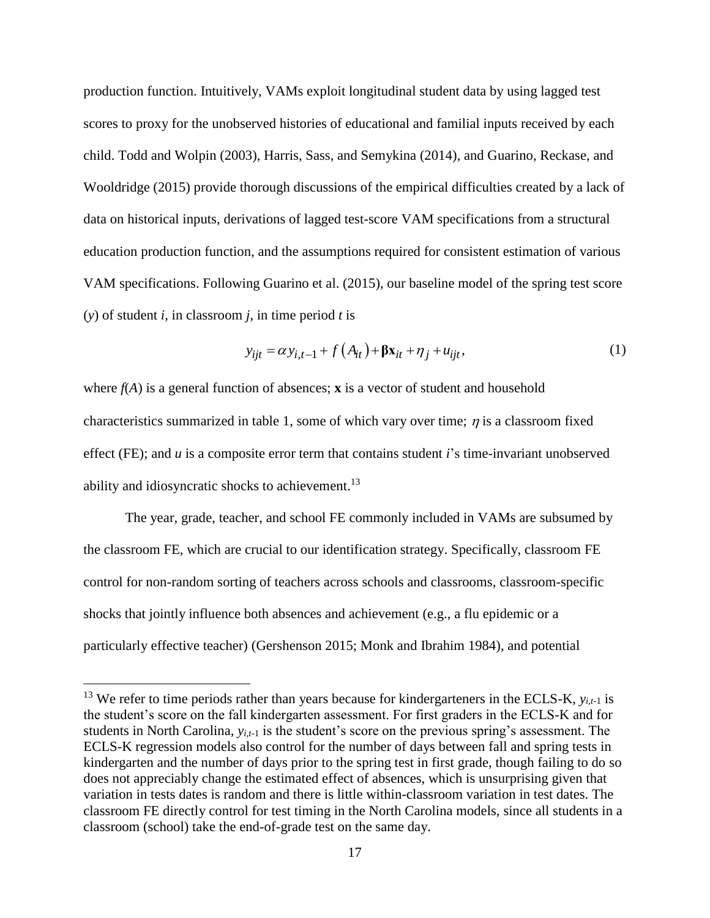production function. Intuitively, VAMs exploit longitudinal student data by using lagged test scores to proxy for the unobserved histories of educational and familial inputs received by each child. Todd and Wolpin (2003), Harris, Sass, and Semykina (2014), and Guarino, Reckase, and Wooldridge (2015) provide thorough discussions of the empirical difficulties created by a lack of data on historical inputs, derivations of lagged test-score VAM specifications from a structural education production function, and the assumptions required for consistent estimation of various VAM specifications. Following Guarino et al. (2015), our baseline model of the spring test score (*y*) of student *i*, in classroom *j*, in time period *t* is

$$
y_{ijt} = \alpha y_{i,t-1} + f(A_{it}) + \beta x_{it} + \eta_j + u_{ijt},
$$
\n(1)

where  $f(A)$  is a general function of absences; **x** is a vector of student and household characteristics summarized in table 1, some of which vary over time;  $\eta$  is a classroom fixed effect (FE); and *u* is a composite error term that contains student *i*'s time-invariant unobserved ability and idiosyncratic shocks to achievement.<sup>13</sup>

The year, grade, teacher, and school FE commonly included in VAMs are subsumed by the classroom FE, which are crucial to our identification strategy. Specifically, classroom FE control for non-random sorting of teachers across schools and classrooms, classroom-specific shocks that jointly influence both absences and achievement (e.g., a flu epidemic or a particularly effective teacher) (Gershenson 2015; Monk and Ibrahim 1984), and potential

<sup>&</sup>lt;sup>13</sup> We refer to time periods rather than years because for kindergarteners in the ECLS-K,  $y_{i,t-1}$  is the student's score on the fall kindergarten assessment. For first graders in the ECLS-K and for students in North Carolina, *yi*,*t*-1 is the student's score on the previous spring's assessment. The ECLS-K regression models also control for the number of days between fall and spring tests in kindergarten and the number of days prior to the spring test in first grade, though failing to do so does not appreciably change the estimated effect of absences, which is unsurprising given that variation in tests dates is random and there is little within-classroom variation in test dates. The classroom FE directly control for test timing in the North Carolina models, since all students in a classroom (school) take the end-of-grade test on the same day.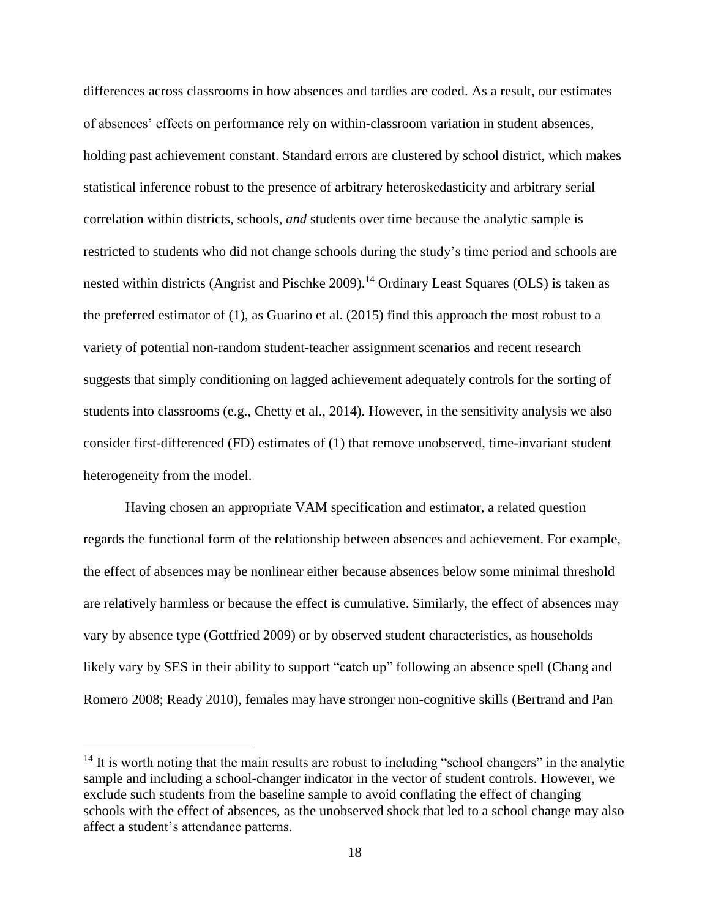differences across classrooms in how absences and tardies are coded. As a result, our estimates of absences' effects on performance rely on within-classroom variation in student absences, holding past achievement constant. Standard errors are clustered by school district, which makes statistical inference robust to the presence of arbitrary heteroskedasticity and arbitrary serial correlation within districts, schools, *and* students over time because the analytic sample is restricted to students who did not change schools during the study's time period and schools are nested within districts (Angrist and Pischke 2009).<sup>14</sup> Ordinary Least Squares (OLS) is taken as the preferred estimator of (1), as Guarino et al. (2015) find this approach the most robust to a variety of potential non-random student-teacher assignment scenarios and recent research suggests that simply conditioning on lagged achievement adequately controls for the sorting of students into classrooms (e.g., Chetty et al., 2014). However, in the sensitivity analysis we also consider first-differenced (FD) estimates of (1) that remove unobserved, time-invariant student heterogeneity from the model.

Having chosen an appropriate VAM specification and estimator, a related question regards the functional form of the relationship between absences and achievement. For example, the effect of absences may be nonlinear either because absences below some minimal threshold are relatively harmless or because the effect is cumulative. Similarly, the effect of absences may vary by absence type (Gottfried 2009) or by observed student characteristics, as households likely vary by SES in their ability to support "catch up" following an absence spell (Chang and Romero 2008; Ready 2010), females may have stronger non-cognitive skills (Bertrand and Pan

<sup>&</sup>lt;sup>14</sup> It is worth noting that the main results are robust to including "school changers" in the analytic sample and including a school-changer indicator in the vector of student controls. However, we exclude such students from the baseline sample to avoid conflating the effect of changing schools with the effect of absences, as the unobserved shock that led to a school change may also affect a student's attendance patterns.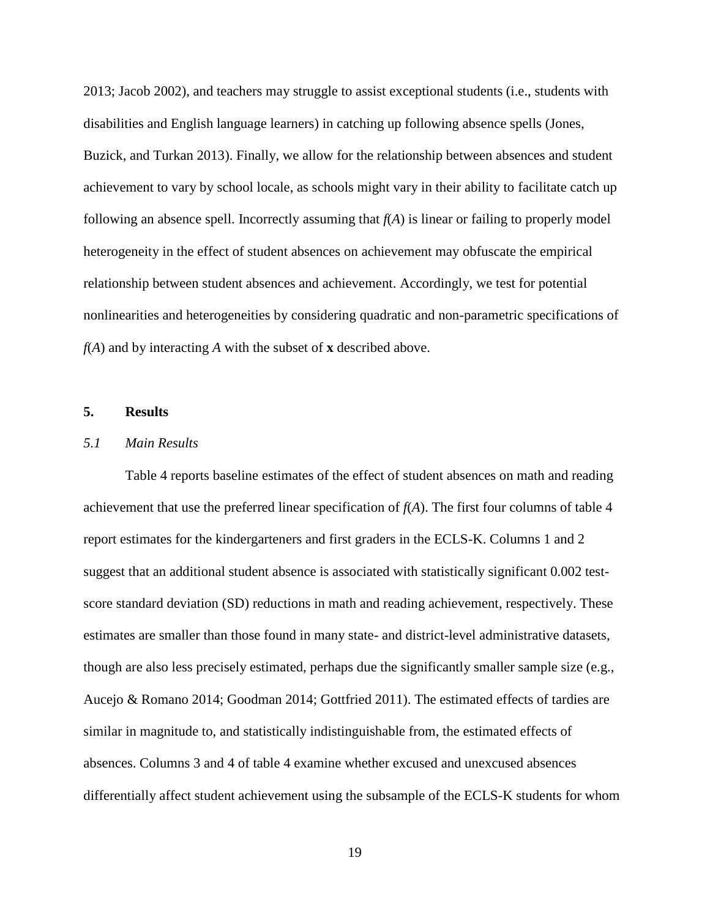2013; Jacob 2002), and teachers may struggle to assist exceptional students (i.e., students with disabilities and English language learners) in catching up following absence spells (Jones, Buzick, and Turkan 2013). Finally, we allow for the relationship between absences and student achievement to vary by school locale, as schools might vary in their ability to facilitate catch up following an absence spell. Incorrectly assuming that *f*(*A*) is linear or failing to properly model heterogeneity in the effect of student absences on achievement may obfuscate the empirical relationship between student absences and achievement. Accordingly, we test for potential nonlinearities and heterogeneities by considering quadratic and non-parametric specifications of *f*(*A*) and by interacting *A* with the subset of **x** described above.

#### **5. Results**

#### *5.1 Main Results*

Table 4 reports baseline estimates of the effect of student absences on math and reading achievement that use the preferred linear specification of *f*(*A*). The first four columns of table 4 report estimates for the kindergarteners and first graders in the ECLS-K. Columns 1 and 2 suggest that an additional student absence is associated with statistically significant 0.002 testscore standard deviation (SD) reductions in math and reading achievement, respectively. These estimates are smaller than those found in many state- and district-level administrative datasets, though are also less precisely estimated, perhaps due the significantly smaller sample size (e.g., Aucejo & Romano 2014; Goodman 2014; Gottfried 2011). The estimated effects of tardies are similar in magnitude to, and statistically indistinguishable from, the estimated effects of absences. Columns 3 and 4 of table 4 examine whether excused and unexcused absences differentially affect student achievement using the subsample of the ECLS-K students for whom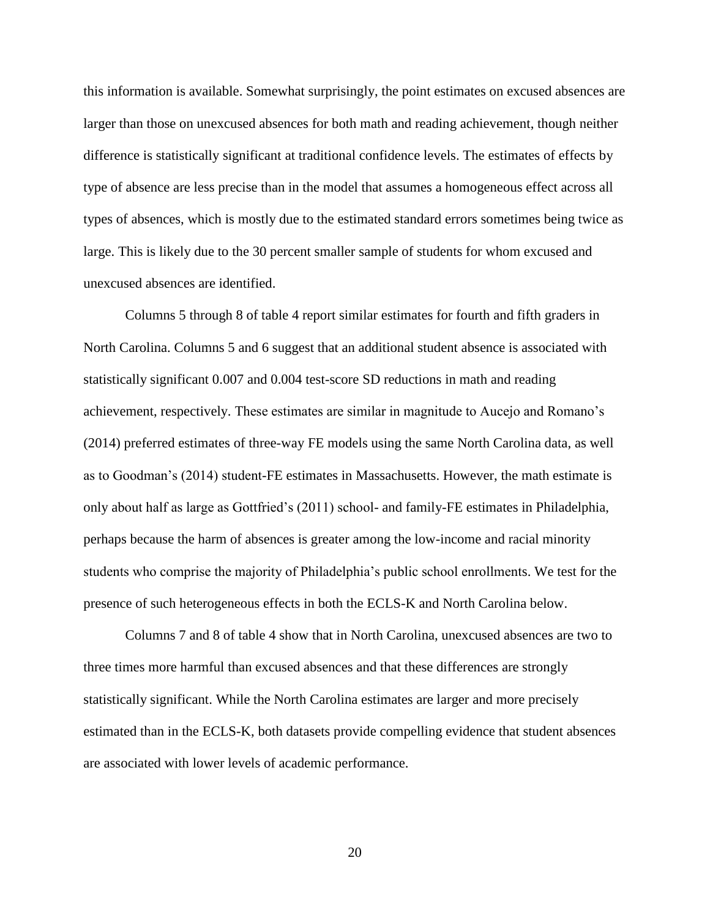this information is available. Somewhat surprisingly, the point estimates on excused absences are larger than those on unexcused absences for both math and reading achievement, though neither difference is statistically significant at traditional confidence levels. The estimates of effects by type of absence are less precise than in the model that assumes a homogeneous effect across all types of absences, which is mostly due to the estimated standard errors sometimes being twice as large. This is likely due to the 30 percent smaller sample of students for whom excused and unexcused absences are identified.

Columns 5 through 8 of table 4 report similar estimates for fourth and fifth graders in North Carolina. Columns 5 and 6 suggest that an additional student absence is associated with statistically significant 0.007 and 0.004 test-score SD reductions in math and reading achievement, respectively. These estimates are similar in magnitude to Aucejo and Romano's (2014) preferred estimates of three-way FE models using the same North Carolina data, as well as to Goodman's (2014) student-FE estimates in Massachusetts. However, the math estimate is only about half as large as Gottfried's (2011) school- and family-FE estimates in Philadelphia, perhaps because the harm of absences is greater among the low-income and racial minority students who comprise the majority of Philadelphia's public school enrollments. We test for the presence of such heterogeneous effects in both the ECLS-K and North Carolina below.

Columns 7 and 8 of table 4 show that in North Carolina, unexcused absences are two to three times more harmful than excused absences and that these differences are strongly statistically significant. While the North Carolina estimates are larger and more precisely estimated than in the ECLS-K, both datasets provide compelling evidence that student absences are associated with lower levels of academic performance.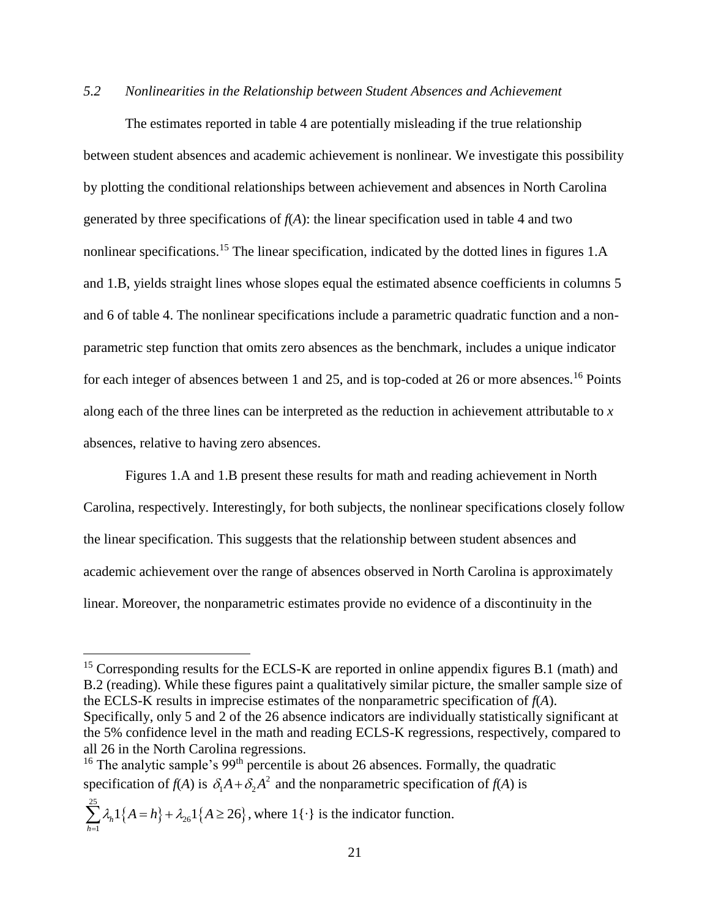#### *5.2 Nonlinearities in the Relationship between Student Absences and Achievement*

The estimates reported in table 4 are potentially misleading if the true relationship between student absences and academic achievement is nonlinear. We investigate this possibility by plotting the conditional relationships between achievement and absences in North Carolina generated by three specifications of  $f(A)$ : the linear specification used in table 4 and two nonlinear specifications.<sup>15</sup> The linear specification, indicated by the dotted lines in figures 1.A and 1.B, yields straight lines whose slopes equal the estimated absence coefficients in columns 5 and 6 of table 4. The nonlinear specifications include a parametric quadratic function and a nonparametric step function that omits zero absences as the benchmark, includes a unique indicator for each integer of absences between 1 and 25, and is top-coded at 26 or more absences.<sup>16</sup> Points along each of the three lines can be interpreted as the reduction in achievement attributable to *x* absences, relative to having zero absences.

Figures 1.A and 1.B present these results for math and reading achievement in North Carolina, respectively. Interestingly, for both subjects, the nonlinear specifications closely follow the linear specification. This suggests that the relationship between student absences and academic achievement over the range of absences observed in North Carolina is approximately linear. Moreover, the nonparametric estimates provide no evidence of a discontinuity in the

$$
\sum_{h=1}^{25} \lambda_h 1\{A = h\} + \lambda_{26} 1\{A \ge 26\}
$$
, where  $1\{\cdot\}$  is the indicator function.

<sup>&</sup>lt;sup>15</sup> Corresponding results for the ECLS-K are reported in online appendix figures B.1 (math) and B.2 (reading). While these figures paint a qualitatively similar picture, the smaller sample size of the ECLS-K results in imprecise estimates of the nonparametric specification of *f*(*A*). Specifically, only 5 and 2 of the 26 absence indicators are individually statistically significant at the 5% confidence level in the math and reading ECLS-K regressions, respectively, compared to all 26 in the North Carolina regressions.

<sup>&</sup>lt;sup>16</sup> The analytic sample's  $99<sup>th</sup>$  percentile is about 26 absences. Formally, the quadratic specification of  $f(A)$  is  $\delta_1 A + \delta_2 A^2$  and the nonparametric specification of  $f(A)$  is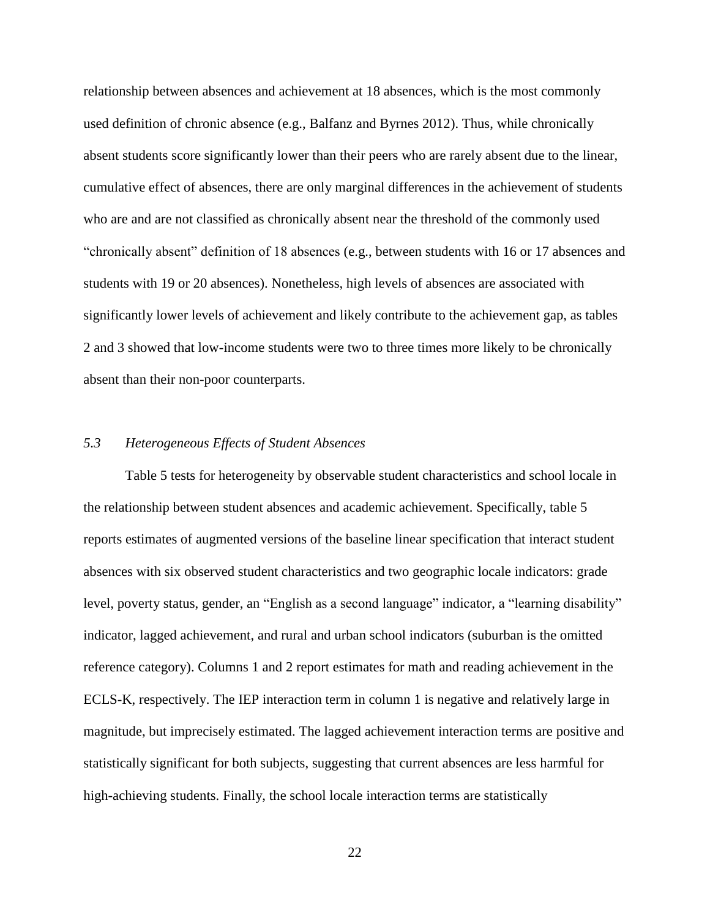relationship between absences and achievement at 18 absences, which is the most commonly used definition of chronic absence (e.g., Balfanz and Byrnes 2012). Thus, while chronically absent students score significantly lower than their peers who are rarely absent due to the linear, cumulative effect of absences, there are only marginal differences in the achievement of students who are and are not classified as chronically absent near the threshold of the commonly used "chronically absent" definition of 18 absences (e.g., between students with 16 or 17 absences and students with 19 or 20 absences). Nonetheless, high levels of absences are associated with significantly lower levels of achievement and likely contribute to the achievement gap, as tables 2 and 3 showed that low-income students were two to three times more likely to be chronically absent than their non-poor counterparts.

#### *5.3 Heterogeneous Effects of Student Absences*

Table 5 tests for heterogeneity by observable student characteristics and school locale in the relationship between student absences and academic achievement. Specifically, table 5 reports estimates of augmented versions of the baseline linear specification that interact student absences with six observed student characteristics and two geographic locale indicators: grade level, poverty status, gender, an "English as a second language" indicator, a "learning disability" indicator, lagged achievement, and rural and urban school indicators (suburban is the omitted reference category). Columns 1 and 2 report estimates for math and reading achievement in the ECLS-K, respectively. The IEP interaction term in column 1 is negative and relatively large in magnitude, but imprecisely estimated. The lagged achievement interaction terms are positive and statistically significant for both subjects, suggesting that current absences are less harmful for high-achieving students. Finally, the school locale interaction terms are statistically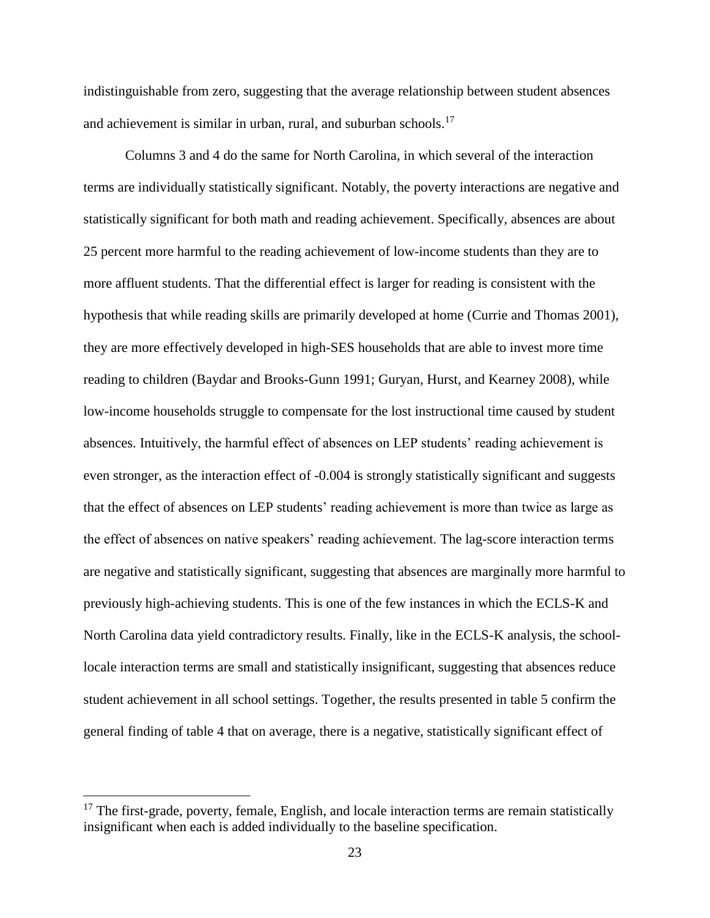indistinguishable from zero, suggesting that the average relationship between student absences and achievement is similar in urban, rural, and suburban schools.<sup>17</sup>

Columns 3 and 4 do the same for North Carolina, in which several of the interaction terms are individually statistically significant. Notably, the poverty interactions are negative and statistically significant for both math and reading achievement. Specifically, absences are about 25 percent more harmful to the reading achievement of low-income students than they are to more affluent students. That the differential effect is larger for reading is consistent with the hypothesis that while reading skills are primarily developed at home (Currie and Thomas 2001), they are more effectively developed in high-SES households that are able to invest more time reading to children (Baydar and Brooks-Gunn 1991; Guryan, Hurst, and Kearney 2008), while low-income households struggle to compensate for the lost instructional time caused by student absences. Intuitively, the harmful effect of absences on LEP students' reading achievement is even stronger, as the interaction effect of -0.004 is strongly statistically significant and suggests that the effect of absences on LEP students' reading achievement is more than twice as large as the effect of absences on native speakers' reading achievement. The lag-score interaction terms are negative and statistically significant, suggesting that absences are marginally more harmful to previously high-achieving students. This is one of the few instances in which the ECLS-K and North Carolina data yield contradictory results. Finally, like in the ECLS-K analysis, the schoollocale interaction terms are small and statistically insignificant, suggesting that absences reduce student achievement in all school settings. Together, the results presented in table 5 confirm the general finding of table 4 that on average, there is a negative, statistically significant effect of

 $17$  The first-grade, poverty, female, English, and locale interaction terms are remain statistically insignificant when each is added individually to the baseline specification.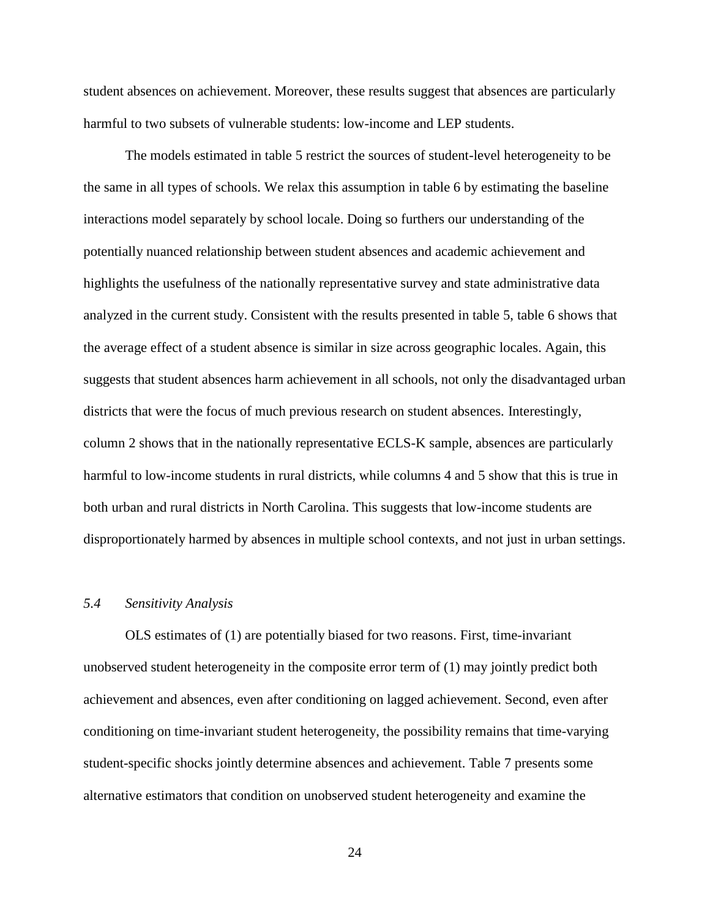student absences on achievement. Moreover, these results suggest that absences are particularly harmful to two subsets of vulnerable students: low-income and LEP students.

The models estimated in table 5 restrict the sources of student-level heterogeneity to be the same in all types of schools. We relax this assumption in table 6 by estimating the baseline interactions model separately by school locale. Doing so furthers our understanding of the potentially nuanced relationship between student absences and academic achievement and highlights the usefulness of the nationally representative survey and state administrative data analyzed in the current study. Consistent with the results presented in table 5, table 6 shows that the average effect of a student absence is similar in size across geographic locales. Again, this suggests that student absences harm achievement in all schools, not only the disadvantaged urban districts that were the focus of much previous research on student absences. Interestingly, column 2 shows that in the nationally representative ECLS-K sample, absences are particularly harmful to low-income students in rural districts, while columns 4 and 5 show that this is true in both urban and rural districts in North Carolina. This suggests that low-income students are disproportionately harmed by absences in multiple school contexts, and not just in urban settings.

#### *5.4 Sensitivity Analysis*

OLS estimates of (1) are potentially biased for two reasons. First, time-invariant unobserved student heterogeneity in the composite error term of (1) may jointly predict both achievement and absences, even after conditioning on lagged achievement. Second, even after conditioning on time-invariant student heterogeneity, the possibility remains that time-varying student-specific shocks jointly determine absences and achievement. Table 7 presents some alternative estimators that condition on unobserved student heterogeneity and examine the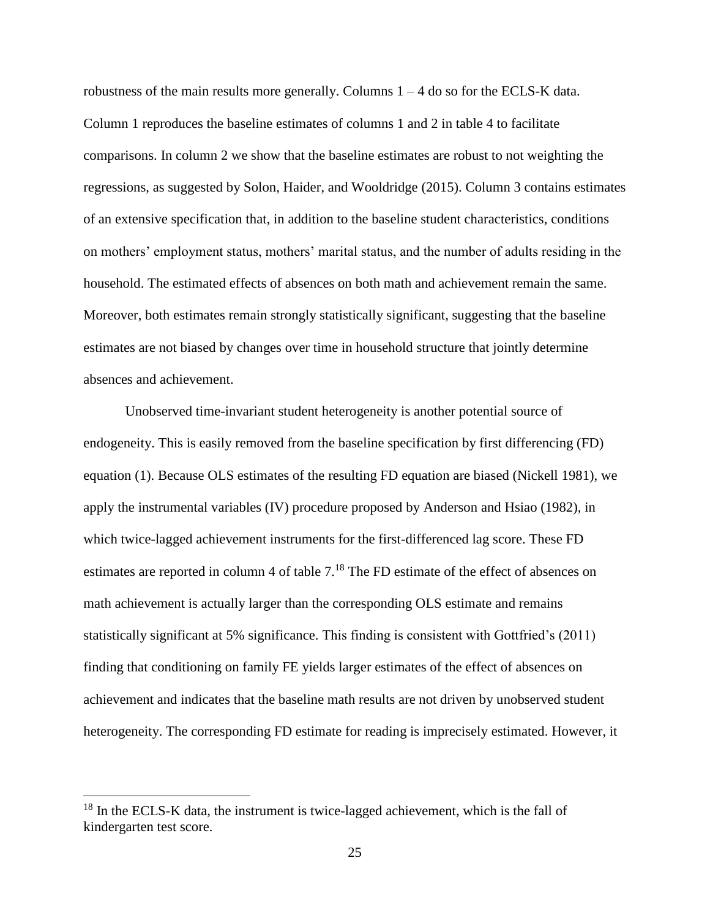robustness of the main results more generally. Columns  $1 - 4$  do so for the ECLS-K data. Column 1 reproduces the baseline estimates of columns 1 and 2 in table 4 to facilitate comparisons. In column 2 we show that the baseline estimates are robust to not weighting the regressions, as suggested by Solon, Haider, and Wooldridge (2015). Column 3 contains estimates of an extensive specification that, in addition to the baseline student characteristics, conditions on mothers' employment status, mothers' marital status, and the number of adults residing in the household. The estimated effects of absences on both math and achievement remain the same. Moreover, both estimates remain strongly statistically significant, suggesting that the baseline estimates are not biased by changes over time in household structure that jointly determine absences and achievement.

Unobserved time-invariant student heterogeneity is another potential source of endogeneity. This is easily removed from the baseline specification by first differencing (FD) equation (1). Because OLS estimates of the resulting FD equation are biased (Nickell 1981), we apply the instrumental variables (IV) procedure proposed by Anderson and Hsiao (1982), in which twice-lagged achievement instruments for the first-differenced lag score. These FD estimates are reported in column 4 of table 7.<sup>18</sup> The FD estimate of the effect of absences on math achievement is actually larger than the corresponding OLS estimate and remains statistically significant at 5% significance. This finding is consistent with Gottfried's (2011) finding that conditioning on family FE yields larger estimates of the effect of absences on achievement and indicates that the baseline math results are not driven by unobserved student heterogeneity. The corresponding FD estimate for reading is imprecisely estimated. However, it

<sup>&</sup>lt;sup>18</sup> In the ECLS-K data, the instrument is twice-lagged achievement, which is the fall of kindergarten test score.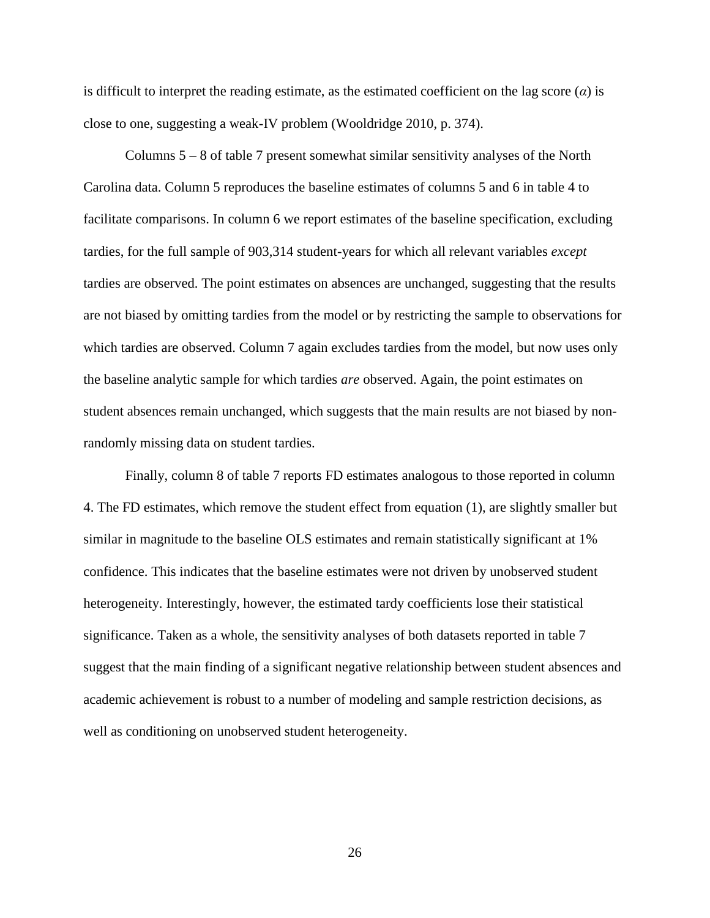is difficult to interpret the reading estimate, as the estimated coefficient on the lag score  $(\alpha)$  is close to one, suggesting a weak-IV problem (Wooldridge 2010, p. 374).

Columns  $5 - 8$  of table 7 present somewhat similar sensitivity analyses of the North Carolina data. Column 5 reproduces the baseline estimates of columns 5 and 6 in table 4 to facilitate comparisons. In column 6 we report estimates of the baseline specification, excluding tardies, for the full sample of 903,314 student-years for which all relevant variables *except* tardies are observed. The point estimates on absences are unchanged, suggesting that the results are not biased by omitting tardies from the model or by restricting the sample to observations for which tardies are observed. Column 7 again excludes tardies from the model, but now uses only the baseline analytic sample for which tardies *are* observed. Again, the point estimates on student absences remain unchanged, which suggests that the main results are not biased by nonrandomly missing data on student tardies.

Finally, column 8 of table 7 reports FD estimates analogous to those reported in column 4. The FD estimates, which remove the student effect from equation (1), are slightly smaller but similar in magnitude to the baseline OLS estimates and remain statistically significant at 1% confidence. This indicates that the baseline estimates were not driven by unobserved student heterogeneity. Interestingly, however, the estimated tardy coefficients lose their statistical significance. Taken as a whole, the sensitivity analyses of both datasets reported in table 7 suggest that the main finding of a significant negative relationship between student absences and academic achievement is robust to a number of modeling and sample restriction decisions, as well as conditioning on unobserved student heterogeneity.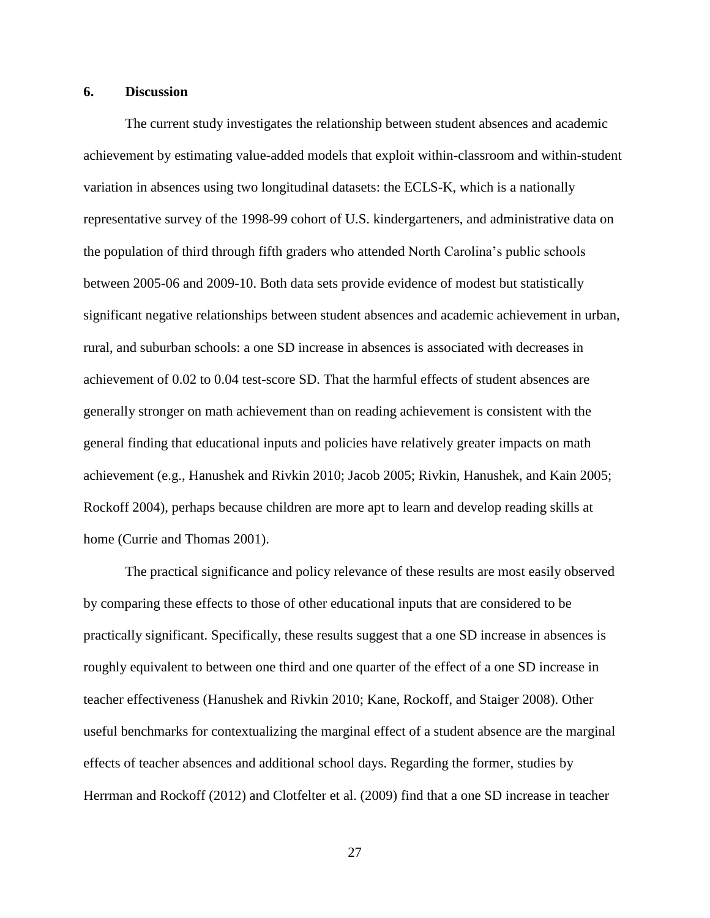#### **6. Discussion**

The current study investigates the relationship between student absences and academic achievement by estimating value-added models that exploit within-classroom and within-student variation in absences using two longitudinal datasets: the ECLS-K, which is a nationally representative survey of the 1998-99 cohort of U.S. kindergarteners, and administrative data on the population of third through fifth graders who attended North Carolina's public schools between 2005-06 and 2009-10. Both data sets provide evidence of modest but statistically significant negative relationships between student absences and academic achievement in urban, rural, and suburban schools: a one SD increase in absences is associated with decreases in achievement of 0.02 to 0.04 test-score SD. That the harmful effects of student absences are generally stronger on math achievement than on reading achievement is consistent with the general finding that educational inputs and policies have relatively greater impacts on math achievement (e.g., Hanushek and Rivkin 2010; Jacob 2005; Rivkin, Hanushek, and Kain 2005; Rockoff 2004), perhaps because children are more apt to learn and develop reading skills at home (Currie and Thomas 2001).

The practical significance and policy relevance of these results are most easily observed by comparing these effects to those of other educational inputs that are considered to be practically significant. Specifically, these results suggest that a one SD increase in absences is roughly equivalent to between one third and one quarter of the effect of a one SD increase in teacher effectiveness (Hanushek and Rivkin 2010; Kane, Rockoff, and Staiger 2008). Other useful benchmarks for contextualizing the marginal effect of a student absence are the marginal effects of teacher absences and additional school days. Regarding the former, studies by Herrman and Rockoff (2012) and Clotfelter et al. (2009) find that a one SD increase in teacher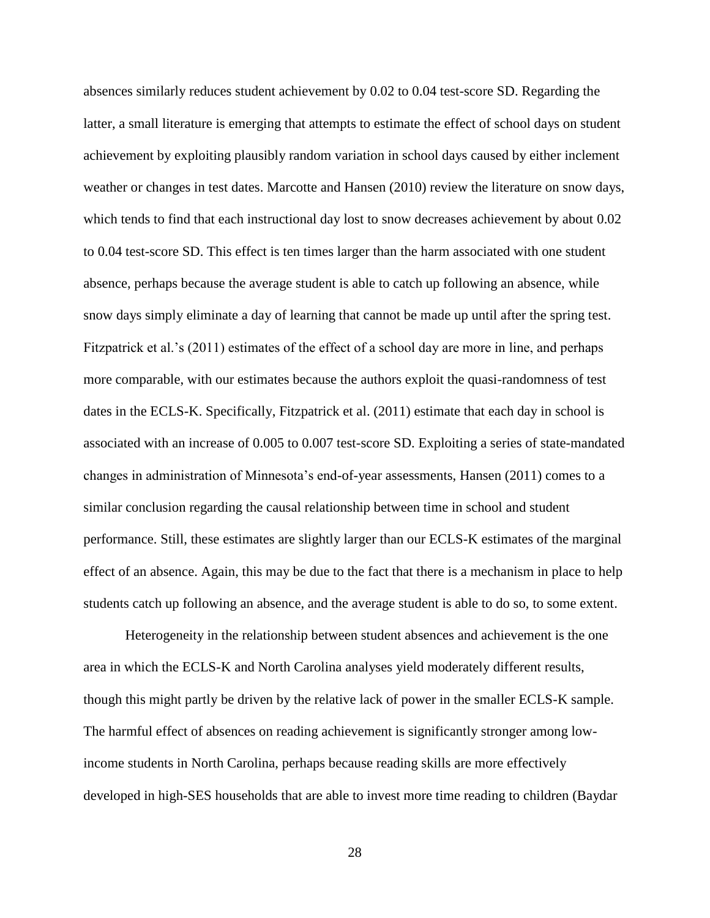absences similarly reduces student achievement by 0.02 to 0.04 test-score SD. Regarding the latter, a small literature is emerging that attempts to estimate the effect of school days on student achievement by exploiting plausibly random variation in school days caused by either inclement weather or changes in test dates. Marcotte and Hansen (2010) review the literature on snow days, which tends to find that each instructional day lost to snow decreases achievement by about 0.02 to 0.04 test-score SD. This effect is ten times larger than the harm associated with one student absence, perhaps because the average student is able to catch up following an absence, while snow days simply eliminate a day of learning that cannot be made up until after the spring test. Fitzpatrick et al.'s (2011) estimates of the effect of a school day are more in line, and perhaps more comparable, with our estimates because the authors exploit the quasi-randomness of test dates in the ECLS-K. Specifically, Fitzpatrick et al. (2011) estimate that each day in school is associated with an increase of 0.005 to 0.007 test-score SD. Exploiting a series of state-mandated changes in administration of Minnesota's end-of-year assessments, Hansen (2011) comes to a similar conclusion regarding the causal relationship between time in school and student performance. Still, these estimates are slightly larger than our ECLS-K estimates of the marginal effect of an absence. Again, this may be due to the fact that there is a mechanism in place to help students catch up following an absence, and the average student is able to do so, to some extent.

Heterogeneity in the relationship between student absences and achievement is the one area in which the ECLS-K and North Carolina analyses yield moderately different results, though this might partly be driven by the relative lack of power in the smaller ECLS-K sample. The harmful effect of absences on reading achievement is significantly stronger among lowincome students in North Carolina, perhaps because reading skills are more effectively developed in high-SES households that are able to invest more time reading to children (Baydar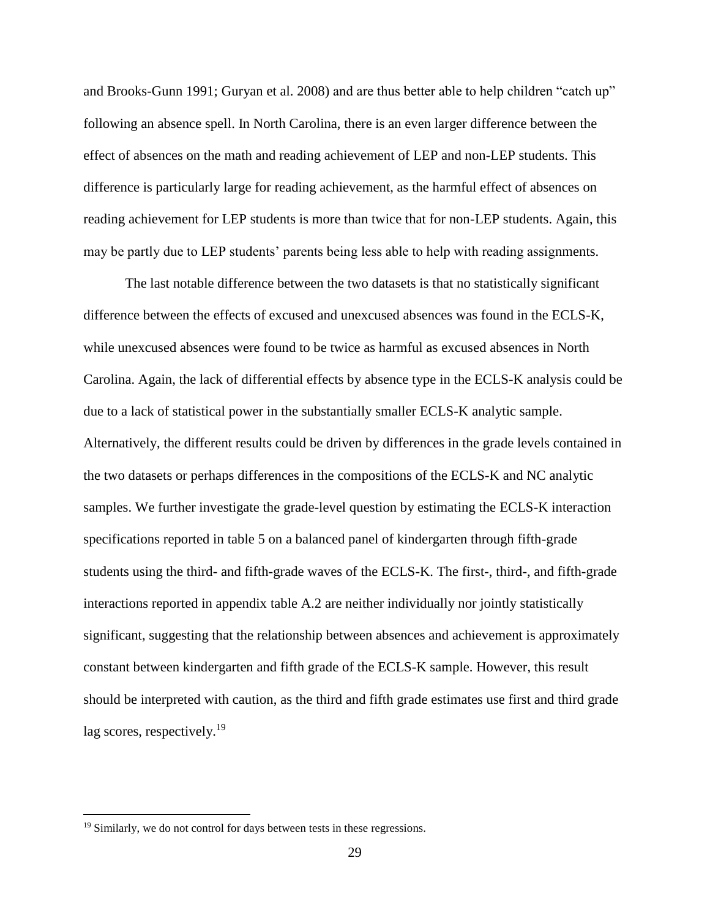and Brooks-Gunn 1991; Guryan et al. 2008) and are thus better able to help children "catch up" following an absence spell. In North Carolina, there is an even larger difference between the effect of absences on the math and reading achievement of LEP and non-LEP students. This difference is particularly large for reading achievement, as the harmful effect of absences on reading achievement for LEP students is more than twice that for non-LEP students. Again, this may be partly due to LEP students' parents being less able to help with reading assignments.

The last notable difference between the two datasets is that no statistically significant difference between the effects of excused and unexcused absences was found in the ECLS-K, while unexcused absences were found to be twice as harmful as excused absences in North Carolina. Again, the lack of differential effects by absence type in the ECLS-K analysis could be due to a lack of statistical power in the substantially smaller ECLS-K analytic sample. Alternatively, the different results could be driven by differences in the grade levels contained in the two datasets or perhaps differences in the compositions of the ECLS-K and NC analytic samples. We further investigate the grade-level question by estimating the ECLS-K interaction specifications reported in table 5 on a balanced panel of kindergarten through fifth-grade students using the third- and fifth-grade waves of the ECLS-K. The first-, third-, and fifth-grade interactions reported in appendix table A.2 are neither individually nor jointly statistically significant, suggesting that the relationship between absences and achievement is approximately constant between kindergarten and fifth grade of the ECLS-K sample. However, this result should be interpreted with caution, as the third and fifth grade estimates use first and third grade lag scores, respectively.<sup>19</sup>

<sup>&</sup>lt;sup>19</sup> Similarly, we do not control for days between tests in these regressions.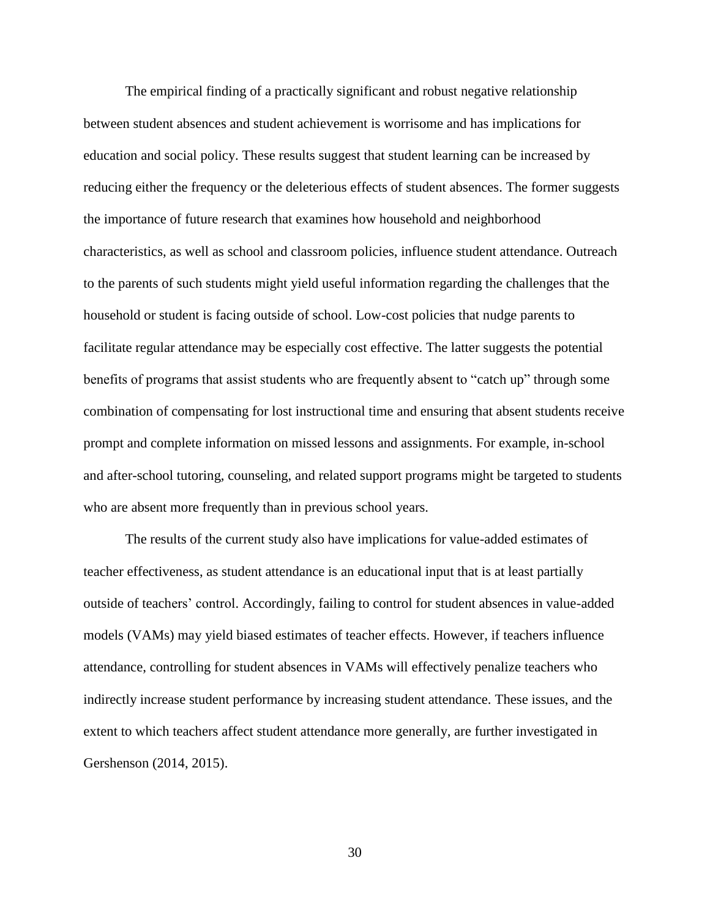The empirical finding of a practically significant and robust negative relationship between student absences and student achievement is worrisome and has implications for education and social policy. These results suggest that student learning can be increased by reducing either the frequency or the deleterious effects of student absences. The former suggests the importance of future research that examines how household and neighborhood characteristics, as well as school and classroom policies, influence student attendance. Outreach to the parents of such students might yield useful information regarding the challenges that the household or student is facing outside of school. Low-cost policies that nudge parents to facilitate regular attendance may be especially cost effective. The latter suggests the potential benefits of programs that assist students who are frequently absent to "catch up" through some combination of compensating for lost instructional time and ensuring that absent students receive prompt and complete information on missed lessons and assignments. For example, in-school and after-school tutoring, counseling, and related support programs might be targeted to students who are absent more frequently than in previous school years.

The results of the current study also have implications for value-added estimates of teacher effectiveness, as student attendance is an educational input that is at least partially outside of teachers' control. Accordingly, failing to control for student absences in value-added models (VAMs) may yield biased estimates of teacher effects. However, if teachers influence attendance, controlling for student absences in VAMs will effectively penalize teachers who indirectly increase student performance by increasing student attendance. These issues, and the extent to which teachers affect student attendance more generally, are further investigated in Gershenson (2014, 2015).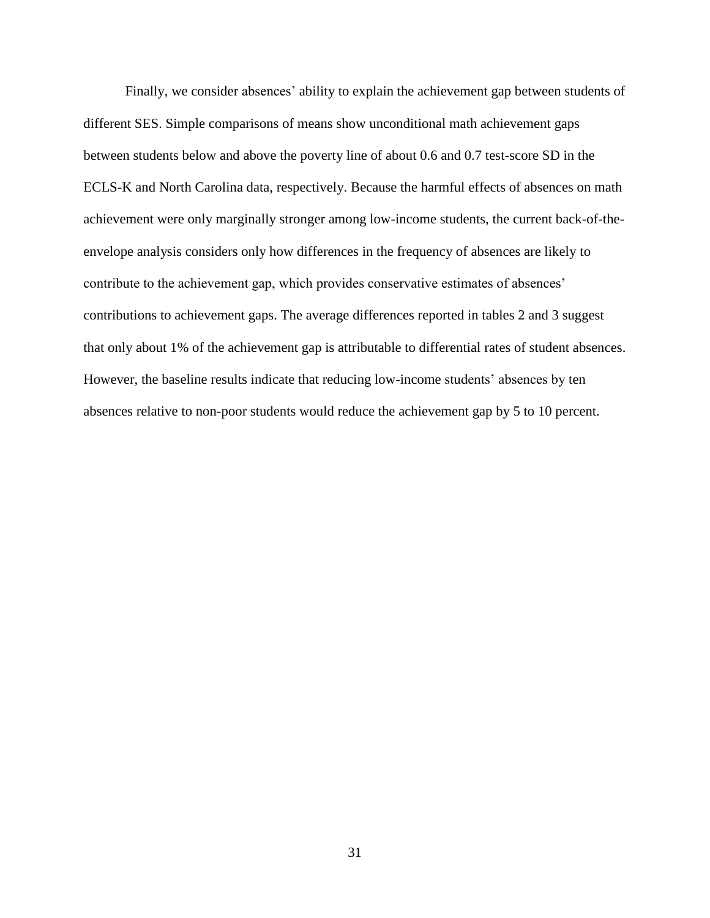Finally, we consider absences' ability to explain the achievement gap between students of different SES. Simple comparisons of means show unconditional math achievement gaps between students below and above the poverty line of about 0.6 and 0.7 test-score SD in the ECLS-K and North Carolina data, respectively. Because the harmful effects of absences on math achievement were only marginally stronger among low-income students, the current back-of-theenvelope analysis considers only how differences in the frequency of absences are likely to contribute to the achievement gap, which provides conservative estimates of absences' contributions to achievement gaps. The average differences reported in tables 2 and 3 suggest that only about 1% of the achievement gap is attributable to differential rates of student absences. However, the baseline results indicate that reducing low-income students' absences by ten absences relative to non-poor students would reduce the achievement gap by 5 to 10 percent.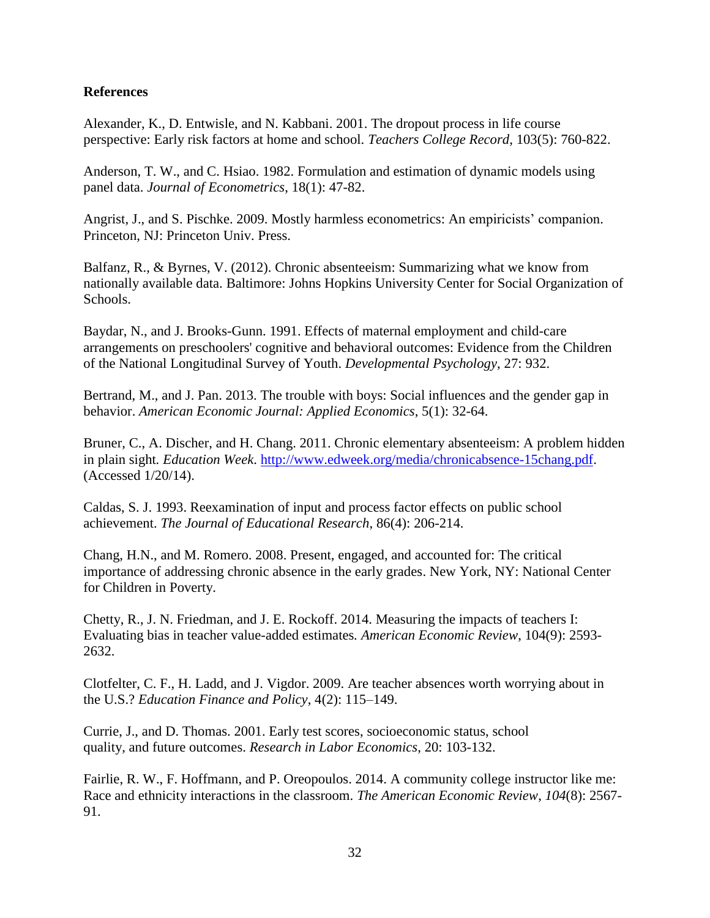#### **References**

Alexander, K., D. Entwisle, and N. Kabbani. 2001. The dropout process in life course perspective: Early risk factors at home and school. *Teachers College Record*, 103(5): 760-822.

Anderson, T. W., and C. Hsiao. 1982. Formulation and estimation of dynamic models using panel data. *Journal of Econometrics*, 18(1): 47-82.

Angrist, J., and S. Pischke. 2009. Mostly harmless econometrics: An empiricists' companion. Princeton, NJ: Princeton Univ. Press.

Balfanz, R., & Byrnes, V. (2012). Chronic absenteeism: Summarizing what we know from nationally available data. Baltimore: Johns Hopkins University Center for Social Organization of Schools.

Baydar, N., and J. Brooks-Gunn. 1991. Effects of maternal employment and child-care arrangements on preschoolers' cognitive and behavioral outcomes: Evidence from the Children of the National Longitudinal Survey of Youth. *Developmental Psychology*, 27: 932.

Bertrand, M., and J. Pan. 2013. The trouble with boys: Social influences and the gender gap in behavior. *American Economic Journal: Applied Economics*, 5(1): 32-64.

Bruner, C., A. Discher, and H. Chang. 2011. Chronic elementary absenteeism: A problem hidden in plain sight*. Education Week*. [http://www.edweek.org/media/chronicabsence-15chang.pdf.](http://www.edweek.org/media/chronicabsence-15chang.pdf) (Accessed 1/20/14).

Caldas, S. J. 1993. Reexamination of input and process factor effects on public school achievement. *The Journal of Educational Research*, 86(4): 206-214.

Chang, H.N., and M. Romero. 2008. Present, engaged, and accounted for: The critical importance of addressing chronic absence in the early grades. New York, NY: National Center for Children in Poverty.

Chetty, R., J. N. Friedman, and J. E. Rockoff. 2014. Measuring the impacts of teachers I: Evaluating bias in teacher value-added estimates*. American Economic Review*, 104(9): 2593- 2632.

Clotfelter, C. F., H. Ladd, and J. Vigdor. 2009. Are teacher absences worth worrying about in the U.S.? *Education Finance and Policy*, 4(2): 115–149.

Currie, J., and D. Thomas. 2001. Early test scores, socioeconomic status, school quality, and future outcomes. *Research in Labor Economics*, 20: 103-132.

Fairlie, R. W., F. Hoffmann, and P. Oreopoulos. 2014. A community college instructor like me: Race and ethnicity interactions in the classroom. *The American Economic Review*, *104*(8): 2567- 91.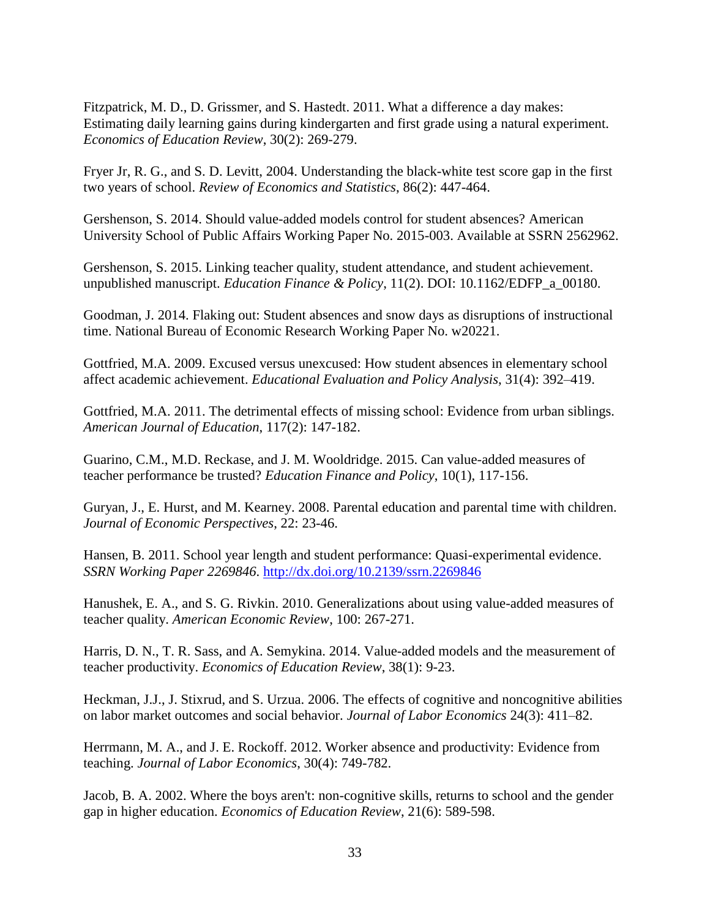Fitzpatrick, M. D., D. Grissmer, and S. Hastedt. 2011. What a difference a day makes: Estimating daily learning gains during kindergarten and first grade using a natural experiment. *Economics of Education Review*, 30(2): 269-279.

Fryer Jr, R. G., and S. D. Levitt, 2004. Understanding the black-white test score gap in the first two years of school. *Review of Economics and Statistics*, 86(2): 447-464.

Gershenson, S. 2014. Should value-added models control for student absences? American University School of Public Affairs Working Paper No. 2015-003. Available at SSRN 2562962.

Gershenson, S. 2015. Linking teacher quality, student attendance, and student achievement. unpublished manuscript. *Education Finance & Policy*, 11(2). DOI: 10.1162/EDFP\_a\_00180.

Goodman, J. 2014. Flaking out: Student absences and snow days as disruptions of instructional time. National Bureau of Economic Research Working Paper No. w20221.

Gottfried, M.A. 2009. Excused versus unexcused: How student absences in elementary school affect academic achievement. *Educational Evaluation and Policy Analysis*, 31(4): 392–419.

Gottfried, M.A. 2011. The detrimental effects of missing school: Evidence from urban siblings. *American Journal of Education*, 117(2): 147-182.

Guarino, C.M., M.D. Reckase, and J. M. Wooldridge. 2015. Can value-added measures of teacher performance be trusted? *Education Finance and Policy*, 10(1), 117-156.

Guryan, J., E. Hurst, and M. Kearney. 2008. Parental education and parental time with children. *Journal of Economic Perspectives*, 22: 23-46.

Hansen, B. 2011. School year length and student performance: Quasi-experimental evidence. *SSRN Working Paper 2269846*. <http://dx.doi.org/10.2139/ssrn.2269846>

Hanushek, E. A., and S. G. Rivkin. 2010. Generalizations about using value-added measures of teacher quality. *American Economic Review*, 100: 267-271.

Harris, D. N., T. R. Sass, and A. Semykina. 2014. Value-added models and the measurement of teacher productivity. *Economics of Education Review*, 38(1): 9-23.

Heckman, J.J., J. Stixrud, and S. Urzua. 2006. The effects of cognitive and noncognitive abilities on labor market outcomes and social behavior. *Journal of Labor Economics* 24(3): 411–82.

Herrmann, M. A., and J. E. Rockoff. 2012. Worker absence and productivity: Evidence from teaching. *Journal of Labor Economics*, 30(4): 749-782.

Jacob, B. A. 2002. Where the boys aren't: non-cognitive skills, returns to school and the gender gap in higher education. *Economics of Education Review*, 21(6): 589-598.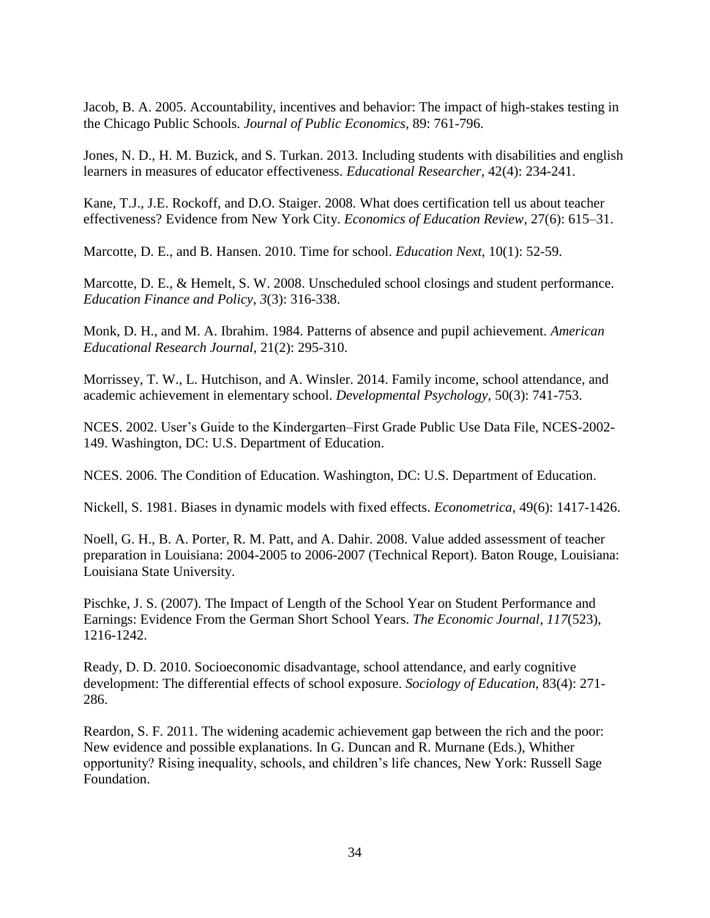Jacob, B. A. 2005. Accountability, incentives and behavior: The impact of high-stakes testing in the Chicago Public Schools. *Journal of Public Economics*, 89: 761-796.

Jones, N. D., H. M. Buzick, and S. Turkan. 2013. Including students with disabilities and english learners in measures of educator effectiveness. *Educational Researcher*, 42(4): 234-241.

Kane, T.J., J.E. Rockoff, and D.O. Staiger. 2008. What does certification tell us about teacher effectiveness? Evidence from New York City. *Economics of Education Review*, 27(6): 615–31.

Marcotte, D. E., and B. Hansen. 2010. Time for school. *Education Next*, 10(1): 52-59.

Marcotte, D. E., & Hemelt, S. W. 2008. Unscheduled school closings and student performance. *Education Finance and Policy*, *3*(3): 316-338.

Monk, D. H., and M. A. Ibrahim. 1984. Patterns of absence and pupil achievement. *American Educational Research Journal*, 21(2): 295-310.

Morrissey, T. W., L. Hutchison, and A. Winsler. 2014. Family income, school attendance, and academic achievement in elementary school. *Developmental Psychology*, 50(3): 741-753.

NCES. 2002. User's Guide to the Kindergarten–First Grade Public Use Data File, NCES-2002- 149. Washington, DC: U.S. Department of Education.

NCES. 2006. The Condition of Education. Washington, DC: U.S. Department of Education.

Nickell, S. 1981. Biases in dynamic models with fixed effects. *Econometrica*, 49(6): 1417-1426.

Noell, G. H., B. A. Porter, R. M. Patt, and A. Dahir. 2008. Value added assessment of teacher preparation in Louisiana: 2004-2005 to 2006-2007 (Technical Report). Baton Rouge, Louisiana: Louisiana State University.

Pischke, J. S. (2007). The Impact of Length of the School Year on Student Performance and Earnings: Evidence From the German Short School Years. *The Economic Journal*, *117*(523), 1216-1242.

Ready, D. D. 2010. Socioeconomic disadvantage, school attendance, and early cognitive development: The differential effects of school exposure. *Sociology of Education*, 83(4): 271- 286.

Reardon, S. F. 2011. The widening academic achievement gap between the rich and the poor: New evidence and possible explanations. In G. Duncan and R. Murnane (Eds.), Whither opportunity? Rising inequality, schools, and children's life chances, New York: Russell Sage Foundation.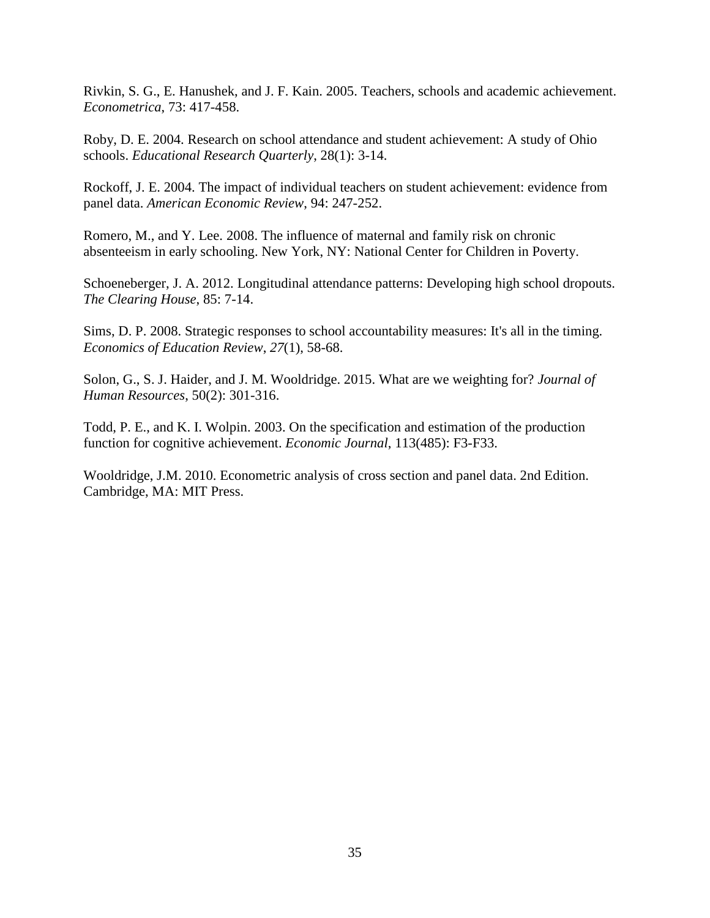Rivkin, S. G., E. Hanushek, and J. F. Kain. 2005. Teachers, schools and academic achievement. *Econometrica*, 73: 417-458.

Roby, D. E. 2004. Research on school attendance and student achievement: A study of Ohio schools. *Educational Research Quarterly*, 28(1): 3-14.

Rockoff, J. E. 2004. The impact of individual teachers on student achievement: evidence from panel data. *American Economic Review*, 94: 247-252.

Romero, M., and Y. Lee. 2008. The influence of maternal and family risk on chronic absenteeism in early schooling. New York, NY: National Center for Children in Poverty.

Schoeneberger, J. A. 2012. Longitudinal attendance patterns: Developing high school dropouts. *The Clearing House*, 85: 7-14.

Sims, D. P. 2008. Strategic responses to school accountability measures: It's all in the timing. *Economics of Education Review*, *27*(1), 58-68.

Solon, G., S. J. Haider, and J. M. Wooldridge. 2015. What are we weighting for? *Journal of Human Resources*, 50(2): 301-316.

Todd, P. E., and K. I. Wolpin. 2003. On the specification and estimation of the production function for cognitive achievement. *Economic Journal*, 113(485): F3-F33.

Wooldridge, J.M. 2010. Econometric analysis of cross section and panel data. 2nd Edition. Cambridge, MA: MIT Press.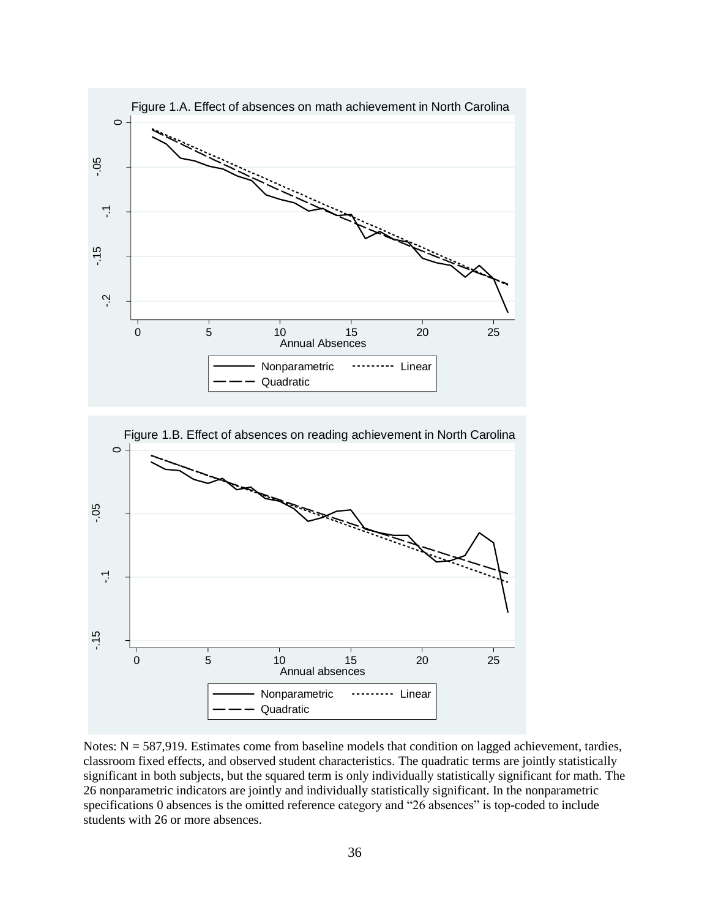

Notes:  $N = 587,919$ . Estimates come from baseline models that condition on lagged achievement, tardies, classroom fixed effects, and observed student characteristics. The quadratic terms are jointly statistically significant in both subjects, but the squared term is only individually statistically significant for math. The 26 nonparametric indicators are jointly and individually statistically significant. In the nonparametric specifications 0 absences is the omitted reference category and "26 absences" is top-coded to include students with 26 or more absences.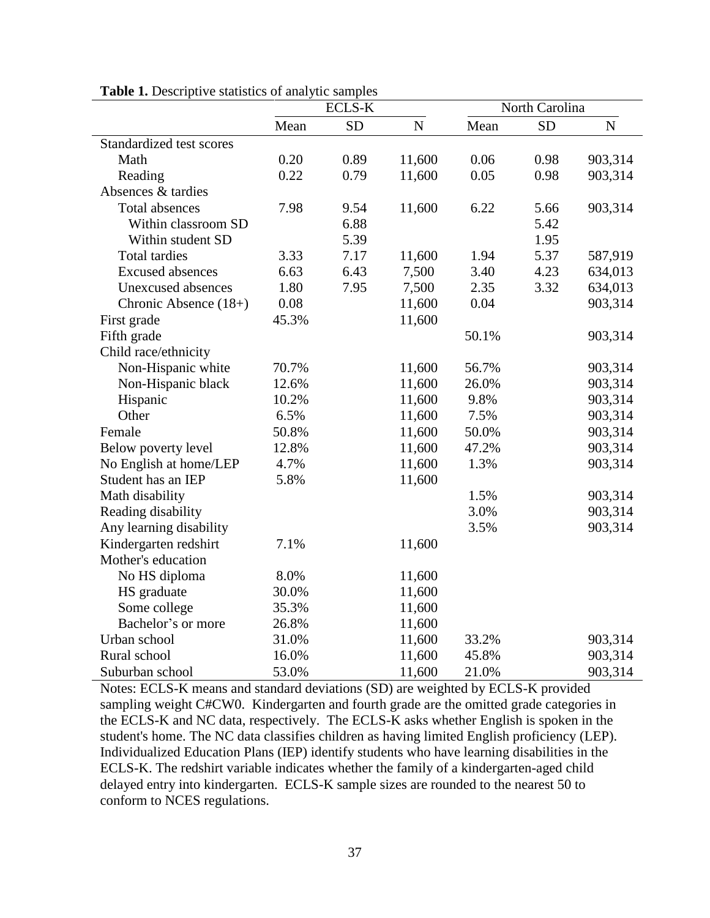|                           | <b>ECLS-K</b> |           |             | North Carolina |           |             |
|---------------------------|---------------|-----------|-------------|----------------|-----------|-------------|
|                           | Mean          | <b>SD</b> | $\mathbf N$ | Mean           | <b>SD</b> | $\mathbf N$ |
| Standardized test scores  |               |           |             |                |           |             |
| Math                      | 0.20          | 0.89      | 11,600      | 0.06           | 0.98      | 903,314     |
| Reading                   | 0.22          | 0.79      | 11,600      | 0.05           | 0.98      | 903,314     |
| Absences & tardies        |               |           |             |                |           |             |
| <b>Total absences</b>     | 7.98          | 9.54      | 11,600      | 6.22           | 5.66      | 903,314     |
| Within classroom SD       |               | 6.88      |             |                | 5.42      |             |
| Within student SD         |               | 5.39      |             |                | 1.95      |             |
| <b>Total tardies</b>      | 3.33          | 7.17      | 11,600      | 1.94           | 5.37      | 587,919     |
| <b>Excused</b> absences   | 6.63          | 6.43      | 7,500       | 3.40           | 4.23      | 634,013     |
| <b>Unexcused</b> absences | 1.80          | 7.95      | 7,500       | 2.35           | 3.32      | 634,013     |
| Chronic Absence (18+)     | 0.08          |           | 11,600      | 0.04           |           | 903,314     |
| First grade               | 45.3%         |           | 11,600      |                |           |             |
| Fifth grade               |               |           |             | 50.1%          |           | 903,314     |
| Child race/ethnicity      |               |           |             |                |           |             |
| Non-Hispanic white        | 70.7%         |           | 11,600      | 56.7%          |           | 903,314     |
| Non-Hispanic black        | 12.6%         |           | 11,600      | 26.0%          |           | 903,314     |
| Hispanic                  | 10.2%         |           | 11,600      | 9.8%           |           | 903,314     |
| Other                     | 6.5%          |           | 11,600      | 7.5%           |           | 903,314     |
| Female                    | 50.8%         |           | 11,600      | 50.0%          |           | 903,314     |
| Below poverty level       | 12.8%         |           | 11,600      | 47.2%          |           | 903,314     |
| No English at home/LEP    | 4.7%          |           | 11,600      | 1.3%           |           | 903,314     |
| Student has an IEP        | 5.8%          |           | 11,600      |                |           |             |
| Math disability           |               |           |             | 1.5%           |           | 903,314     |
| Reading disability        |               |           |             | 3.0%           |           | 903,314     |
| Any learning disability   |               |           |             | 3.5%           |           | 903,314     |
| Kindergarten redshirt     | 7.1%          |           | 11,600      |                |           |             |
| Mother's education        |               |           |             |                |           |             |
| No HS diploma             | 8.0%          |           | 11,600      |                |           |             |
| HS graduate               | 30.0%         |           | 11,600      |                |           |             |
| Some college              | 35.3%         |           | 11,600      |                |           |             |
| Bachelor's or more        | 26.8%         |           | 11,600      |                |           |             |
| Urban school              | 31.0%         |           | 11,600      | 33.2%          |           | 903,314     |
| Rural school              | 16.0%         |           | 11,600      | 45.8%          |           | 903,314     |
| Suburban school           | 53.0%         |           | 11,600      | 21.0%          |           | 903,314     |

**Table 1.** Descriptive statistics of analytic samples

Notes: ECLS-K means and standard deviations (SD) are weighted by ECLS-K provided sampling weight C#CW0. Kindergarten and fourth grade are the omitted grade categories in the ECLS-K and NC data, respectively. The ECLS-K asks whether English is spoken in the student's home. The NC data classifies children as having limited English proficiency (LEP). Individualized Education Plans (IEP) identify students who have learning disabilities in the ECLS-K. The redshirt variable indicates whether the family of a kindergarten-aged child delayed entry into kindergarten. ECLS-K sample sizes are rounded to the nearest 50 to conform to NCES regulations.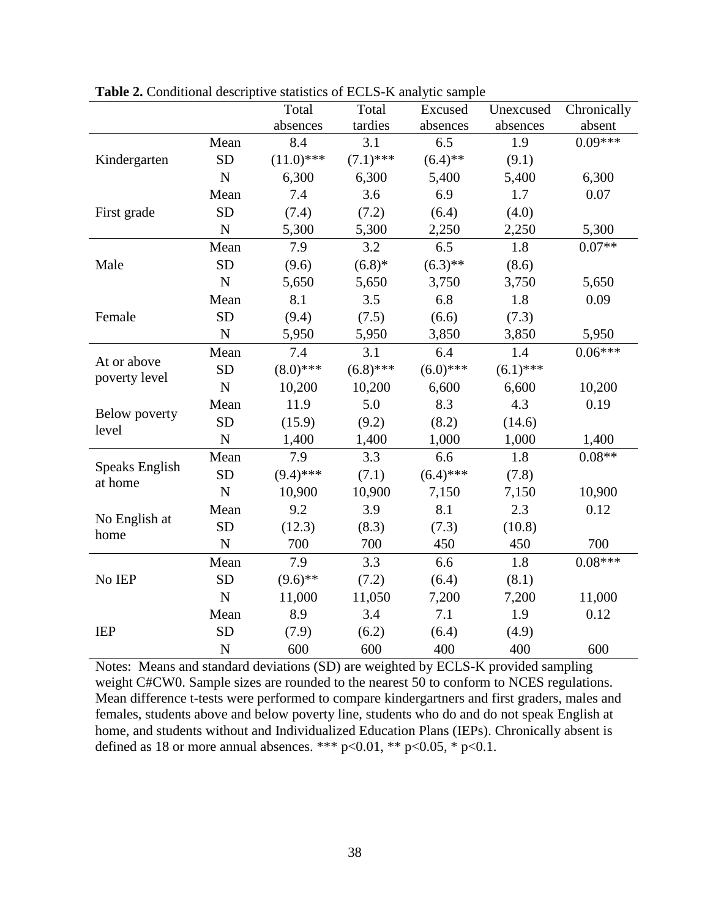|                                  |             | Total        | Total       | Excused     | Unexcused   | Chronically |
|----------------------------------|-------------|--------------|-------------|-------------|-------------|-------------|
|                                  |             | absences     | tardies     | absences    | absences    | absent      |
|                                  | Mean        | 8.4          | 3.1         | 6.5         | 1.9         | $0.09***$   |
| Kindergarten                     | <b>SD</b>   | $(11.0)$ *** | $(7.1)$ *** | $(6.4)$ **  | (9.1)       |             |
|                                  | $\mathbf N$ | 6,300        | 6,300       | 5,400       | 5,400       | 6,300       |
|                                  | Mean        | 7.4          | 3.6         | 6.9         | 1.7         | 0.07        |
| First grade                      | <b>SD</b>   | (7.4)        | (7.2)       | (6.4)       | (4.0)       |             |
|                                  | ${\bf N}$   | 5,300        | 5,300       | 2,250       | 2,250       | 5,300       |
|                                  | Mean        | 7.9          | 3.2         | 6.5         | 1.8         | $0.07**$    |
| Male                             | <b>SD</b>   | (9.6)        | $(6.8)*$    | $(6.3)$ **  | (8.6)       |             |
|                                  | $\mathbf N$ | 5,650        | 5,650       | 3,750       | 3,750       | 5,650       |
|                                  | Mean        | 8.1          | 3.5         | 6.8         | 1.8         | 0.09        |
| Female                           | <b>SD</b>   | (9.4)        | (7.5)       | (6.6)       | (7.3)       |             |
|                                  | ${\bf N}$   | 5,950        | 5,950       | 3,850       | 3,850       | 5,950       |
| At or above<br>poverty level     | Mean        | 7.4          | 3.1         | 6.4         | 1.4         | $0.06***$   |
|                                  | <b>SD</b>   | $(8.0)$ ***  | $(6.8)$ *** | $(6.0)$ *** | $(6.1)$ *** |             |
|                                  | $\mathbf N$ | 10,200       | 10,200      | 6,600       | 6,600       | 10,200      |
|                                  | Mean        | 11.9         | 5.0         | 8.3         | 4.3         | 0.19        |
| <b>Below poverty</b>             | <b>SD</b>   | (15.9)       | (9.2)       | (8.2)       | (14.6)      |             |
| level                            | ${\bf N}$   | 1,400        | 1,400       | 1,000       | 1,000       | 1,400       |
|                                  | Mean        | 7.9          | 3.3         | 6.6         | 1.8         | $0.08**$    |
| <b>Speaks English</b><br>at home | <b>SD</b>   | $(9.4)$ ***  | (7.1)       | $(6.4)$ *** | (7.8)       |             |
|                                  | $\mathbf N$ | 10,900       | 10,900      | 7,150       | 7,150       | 10,900      |
|                                  | Mean        | 9.2          | 3.9         | 8.1         | 2.3         | 0.12        |
| No English at<br>home            | <b>SD</b>   | (12.3)       | (8.3)       | (7.3)       | (10.8)      |             |
|                                  | ${\bf N}$   | 700          | 700         | 450         | 450         | 700         |
|                                  | Mean        | 7.9          | 3.3         | 6.6         | 1.8         | $0.08***$   |
| No IEP                           | <b>SD</b>   | $(9.6)$ **   | (7.2)       | (6.4)       | (8.1)       |             |
|                                  | $\mathbf N$ | 11,000       | 11,050      | 7,200       | 7,200       | 11,000      |
|                                  | Mean        | 8.9          | 3.4         | 7.1         | 1.9         | 0.12        |
| <b>IEP</b>                       | <b>SD</b>   | (7.9)        | (6.2)       | (6.4)       | (4.9)       |             |
|                                  | ${\bf N}$   | 600          | 600         | 400         | 400         | 600         |

**Table 2.** Conditional descriptive statistics of ECLS-K analytic sample

Notes: Means and standard deviations (SD) are weighted by ECLS-K provided sampling weight C#CW0. Sample sizes are rounded to the nearest 50 to conform to NCES regulations. Mean difference t-tests were performed to compare kindergartners and first graders, males and females, students above and below poverty line, students who do and do not speak English at home, and students without and Individualized Education Plans (IEPs). Chronically absent is defined as 18 or more annual absences. \*\*\*  $p<0.01$ , \*\*  $p<0.05$ , \*  $p<0.1$ .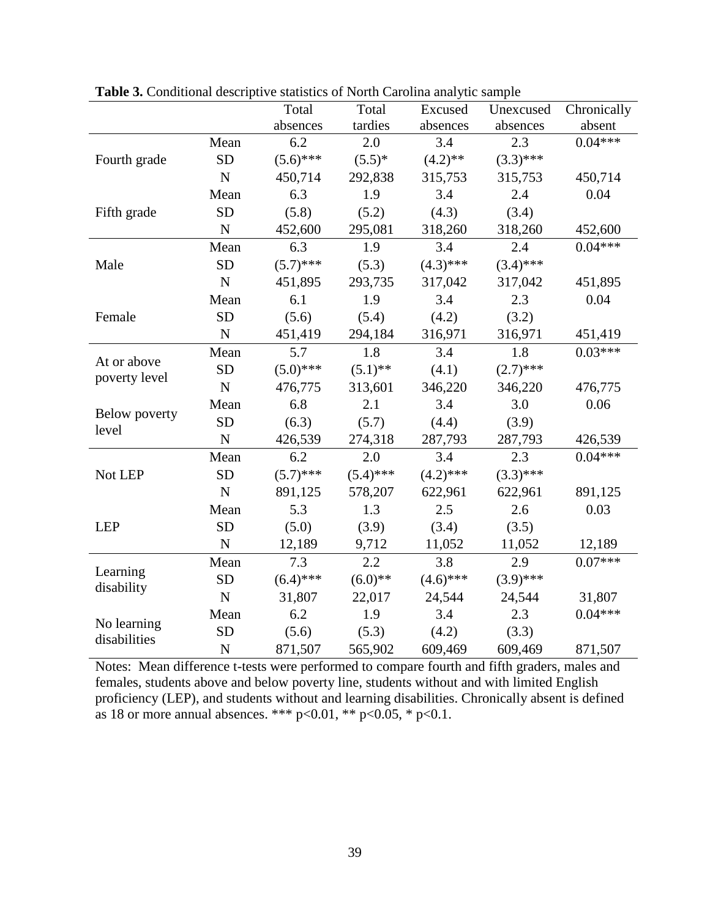|                              |             | Total       | Total       | Excused     | Unexcused   | Chronically |
|------------------------------|-------------|-------------|-------------|-------------|-------------|-------------|
|                              |             | absences    | tardies     | absences    | absences    | absent      |
|                              | Mean        | 6.2         | 2.0         | 3.4         | 2.3         | $0.04***$   |
| Fourth grade                 | <b>SD</b>   | $(5.6)$ *** | $(5.5)^*$   | $(4.2)$ **  | $(3.3)$ *** |             |
|                              | ${\bf N}$   | 450,714     | 292,838     | 315,753     | 315,753     | 450,714     |
|                              | Mean        | 6.3         | 1.9         | 3.4         | 2.4         | 0.04        |
| Fifth grade                  | <b>SD</b>   | (5.8)       | (5.2)       | (4.3)       | (3.4)       |             |
|                              | $\mathbf N$ | 452,600     | 295,081     | 318,260     | 318,260     | 452,600     |
|                              | Mean        | 6.3         | 1.9         | 3.4         | 2.4         | $0.04***$   |
| Male                         | <b>SD</b>   | $(5.7)$ *** | (5.3)       | $(4.3)$ *** | $(3.4)$ *** |             |
|                              | ${\bf N}$   | 451,895     | 293,735     | 317,042     | 317,042     | 451,895     |
|                              | Mean        | 6.1         | 1.9         | 3.4         | 2.3         | 0.04        |
| Female                       | <b>SD</b>   | (5.6)       | (5.4)       | (4.2)       | (3.2)       |             |
|                              | ${\bf N}$   | 451,419     | 294,184     | 316,971     | 316,971     | 451,419     |
| At or above<br>poverty level | Mean        | 5.7         | 1.8         | 3.4         | 1.8         | $0.03***$   |
|                              | <b>SD</b>   | $(5.0)$ *** | $(5.1)$ **  | (4.1)       | $(2.7)$ *** |             |
|                              | ${\bf N}$   | 476,775     | 313,601     | 346,220     | 346,220     | 476,775     |
|                              | Mean        | 6.8         | 2.1         | 3.4         | 3.0         | 0.06        |
| <b>Below poverty</b>         | <b>SD</b>   | (6.3)       | (5.7)       | (4.4)       | (3.9)       |             |
| level                        | ${\bf N}$   | 426,539     | 274,318     | 287,793     | 287,793     | 426,539     |
|                              | Mean        | 6.2         | 2.0         | 3.4         | 2.3         | $0.04***$   |
| Not LEP                      | <b>SD</b>   | $(5.7)$ *** | $(5.4)$ *** | $(4.2)$ *** | $(3.3)$ *** |             |
|                              | $\mathbf N$ | 891,125     | 578,207     | 622,961     | 622,961     | 891,125     |
|                              | Mean        | 5.3         | 1.3         | 2.5         | 2.6         | 0.03        |
| <b>LEP</b>                   | <b>SD</b>   | (5.0)       | (3.9)       | (3.4)       | (3.5)       |             |
|                              | ${\bf N}$   | 12,189      | 9,712       | 11,052      | 11,052      | 12,189      |
|                              | Mean        | 7.3         | 2.2         | 3.8         | 2.9         | $0.07***$   |
| Learning                     | <b>SD</b>   | $(6.4)$ *** | $(6.0)**$   | $(4.6)$ *** | $(3.9)$ *** |             |
| disability                   | $\mathbf N$ | 31,807      | 22,017      | 24,544      | 24,544      | 31,807      |
|                              | Mean        | 6.2         | 1.9         | 3.4         | 2.3         | $0.04***$   |
| No learning                  | <b>SD</b>   | (5.6)       | (5.3)       | (4.2)       | (3.3)       |             |
| disabilities                 | ${\bf N}$   | 871,507     | 565,902     | 609,469     | 609,469     | 871,507     |

**Table 3.** Conditional descriptive statistics of North Carolina analytic sample

Notes: Mean difference t-tests were performed to compare fourth and fifth graders, males and females, students above and below poverty line, students without and with limited English proficiency (LEP), and students without and learning disabilities. Chronically absent is defined as 18 or more annual absences. \*\*\* p<0.01, \*\* p<0.05, \* p<0.1.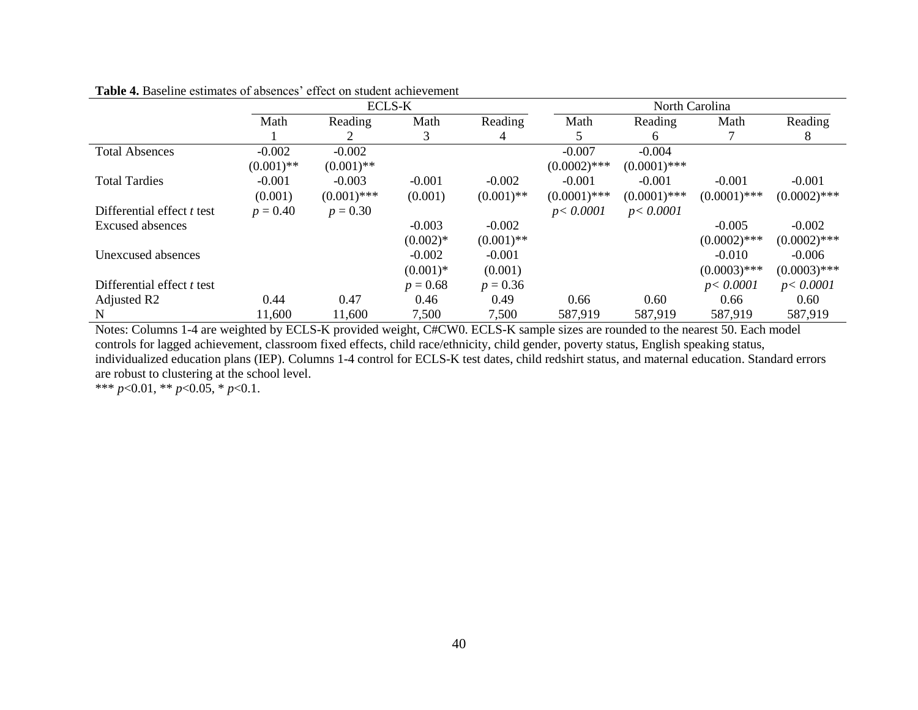|                            | <b>ECLS-K</b> |               |             |              | North Carolina |                |                |                |
|----------------------------|---------------|---------------|-------------|--------------|----------------|----------------|----------------|----------------|
|                            | Math          | Reading       | Math        | Reading      | Math           | Reading        | Math           | Reading        |
|                            |               |               | 3           | 4            |                | 6              |                | 8              |
| <b>Total Absences</b>      | $-0.002$      | $-0.002$      |             |              | $-0.007$       | $-0.004$       |                |                |
|                            | $(0.001)$ **  | $(0.001)$ **  |             |              | $(0.0002)$ *** | $(0.0001)$ *** |                |                |
| <b>Total Tardies</b>       | $-0.001$      | $-0.003$      | $-0.001$    | $-0.002$     | $-0.001$       | $-0.001$       | $-0.001$       | $-0.001$       |
|                            | (0.001)       | $(0.001)$ *** | (0.001)     | $(0.001)$ ** | $(0.0001)$ *** | $(0.0001)$ *** | $(0.0001)$ *** | $(0.0002)$ *** |
| Differential effect t test | $p = 0.40$    | $p = 0.30$    |             |              | p < 0.0001     | p < 0.0001     |                |                |
| <b>Excused absences</b>    |               |               | $-0.003$    | $-0.002$     |                |                | $-0.005$       | $-0.002$       |
|                            |               |               | $(0.002)*$  | $(0.001)$ ** |                |                | $(0.0002)$ *** | $(0.0002)$ *** |
| Unexcused absences         |               |               | $-0.002$    | $-0.001$     |                |                | $-0.010$       | $-0.006$       |
|                            |               |               | $(0.001)$ * | (0.001)      |                |                | $(0.0003)$ *** | $(0.0003)$ *** |
| Differential effect t test |               |               | $p = 0.68$  | $p = 0.36$   |                |                | p < 0.0001     | p < 0.0001     |
| Adjusted R2                | 0.44          | 0.47          | 0.46        | 0.49         | 0.66           | 0.60           | 0.66           | 0.60           |
| N                          | 11,600        | 11,600        | 7,500       | 7,500        | 587,919        | 587,919        | 587,919        | 587,919        |

**Table 4.** Baseline estimates of absences' effect on student achievement

Notes: Columns 1-4 are weighted by ECLS-K provided weight, C#CW0. ECLS-K sample sizes are rounded to the nearest 50. Each model controls for lagged achievement, classroom fixed effects, child race/ethnicity, child gender, poverty status, English speaking status, individualized education plans (IEP). Columns 1-4 control for ECLS-K test dates, child redshirt status, and maternal education. Standard errors are robust to clustering at the school level.

\*\*\* *p*<0.01, \*\* *p*<0.05, \* *p*<0.1.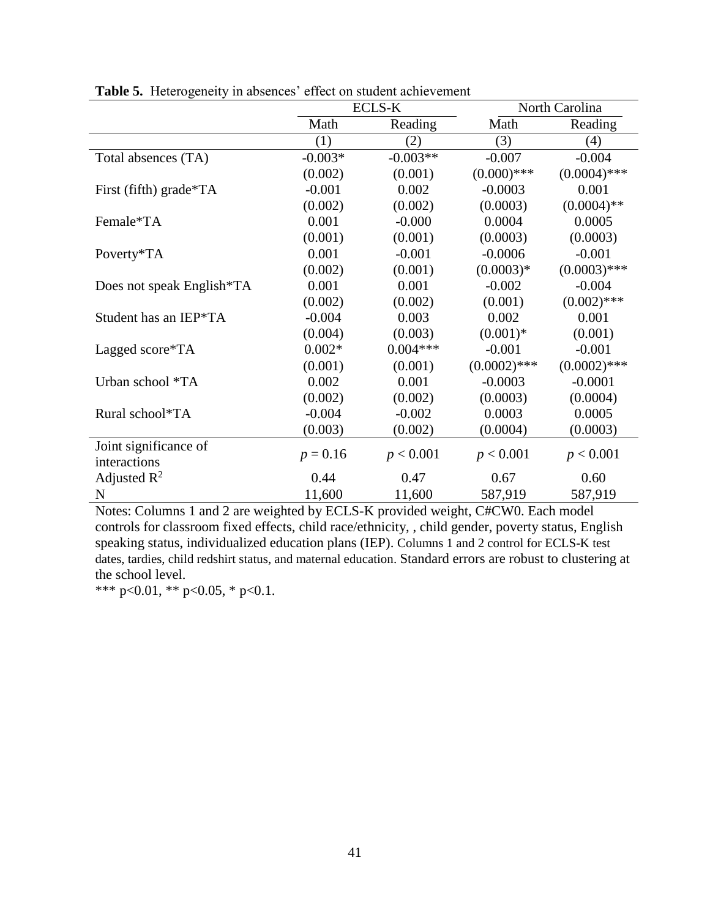|                           |            | <b>ECLS-K</b> |                | North Carolina |
|---------------------------|------------|---------------|----------------|----------------|
|                           | Math       | Reading       | Math           | Reading        |
|                           | (1)        | (2)           | (3)            | (4)            |
| Total absences (TA)       | $-0.003*$  | $-0.003**$    | $-0.007$       | $-0.004$       |
|                           | (0.002)    | (0.001)       | $(0.000)$ ***  | $(0.0004)$ *** |
| First (fifth) grade*TA    | $-0.001$   | 0.002         | $-0.0003$      | 0.001          |
|                           | (0.002)    | (0.002)       | (0.0003)       | $(0.0004)$ **  |
| Female*TA                 | 0.001      | $-0.000$      | 0.0004         | 0.0005         |
|                           | (0.001)    | (0.001)       | (0.0003)       | (0.0003)       |
| Poverty*TA                | 0.001      | $-0.001$      | $-0.0006$      | $-0.001$       |
|                           | (0.002)    | (0.001)       | $(0.0003)*$    | $(0.0003)$ *** |
| Does not speak English*TA | 0.001      | 0.001         | $-0.002$       | $-0.004$       |
|                           | (0.002)    | (0.002)       | (0.001)        | $(0.002)$ ***  |
| Student has an IEP*TA     | $-0.004$   | 0.003         | 0.002          | 0.001          |
|                           | (0.004)    | (0.003)       | $(0.001)*$     | (0.001)        |
| Lagged score*TA           | $0.002*$   | $0.004***$    | $-0.001$       | $-0.001$       |
|                           | (0.001)    | (0.001)       | $(0.0002)$ *** | $(0.0002)$ *** |
| Urban school *TA          | 0.002      | 0.001         | $-0.0003$      | $-0.0001$      |
|                           | (0.002)    | (0.002)       | (0.0003)       | (0.0004)       |
| Rural school*TA           | $-0.004$   | $-0.002$      | 0.0003         | 0.0005         |
|                           | (0.003)    | (0.002)       | (0.0004)       | (0.0003)       |
| Joint significance of     | $p = 0.16$ | p < 0.001     | p < 0.001      | p < 0.001      |
| interactions              |            |               |                |                |
| Adjusted $R^2$            | 0.44       | 0.47          | 0.67           | 0.60           |
| N                         | 11,600     | 11,600        | 587,919        | 587,919        |

**Table 5.** Heterogeneity in absences' effect on student achievement

Notes: Columns 1 and 2 are weighted by ECLS-K provided weight, C#CW0. Each model controls for classroom fixed effects, child race/ethnicity, , child gender, poverty status, English speaking status, individualized education plans (IEP). Columns 1 and 2 control for ECLS-K test dates, tardies, child redshirt status, and maternal education. Standard errors are robust to clustering at the school level.

\*\*\* p<0.01, \*\* p<0.05, \* p<0.1.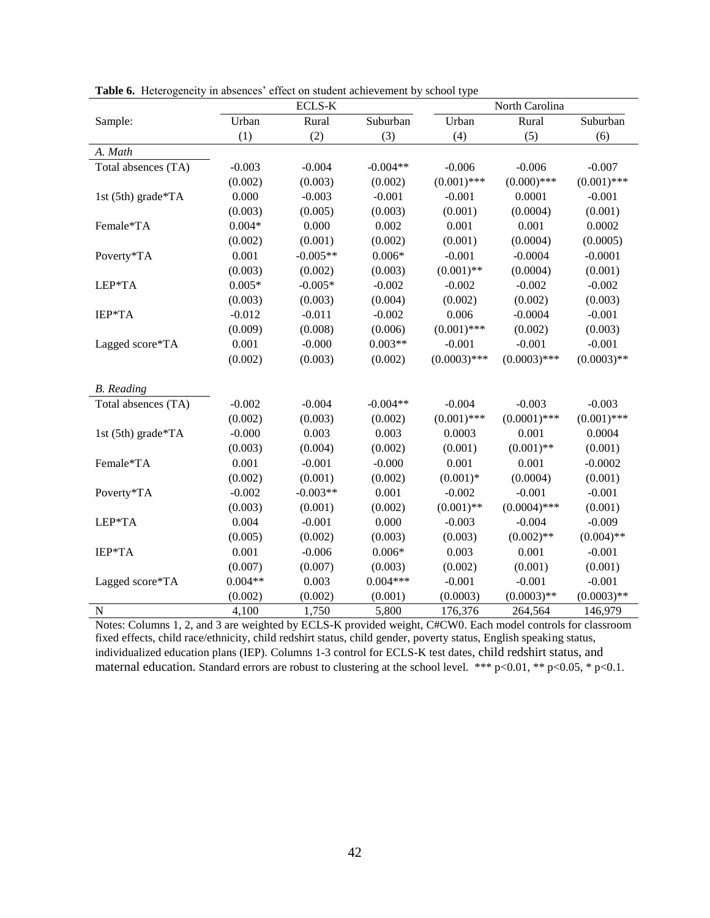|                     | <b>ECLS-K</b> |            |            | North Carolina |                |               |  |
|---------------------|---------------|------------|------------|----------------|----------------|---------------|--|
| Sample:             | Urban         | Rural      | Suburban   | Urban          | Rural          | Suburban      |  |
|                     | (1)           | (2)        | (3)        | (4)            | (5)            | (6)           |  |
| A. Math             |               |            |            |                |                |               |  |
| Total absences (TA) | $-0.003$      | $-0.004$   | $-0.004**$ | $-0.006$       | $-0.006$       | $-0.007$      |  |
|                     | (0.002)       | (0.003)    | (0.002)    | $(0.001)$ ***  | $(0.000)$ ***  | $(0.001)$ *** |  |
| 1st (5th) grade*TA  | 0.000         | $-0.003$   | $-0.001$   | $-0.001$       | 0.0001         | $-0.001$      |  |
|                     | (0.003)       | (0.005)    | (0.003)    | (0.001)        | (0.0004)       | (0.001)       |  |
| Female*TA           | $0.004*$      | 0.000      | 0.002      | 0.001          | 0.001          | 0.0002        |  |
|                     | (0.002)       | (0.001)    | (0.002)    | (0.001)        | (0.0004)       | (0.0005)      |  |
| Poverty*TA          | 0.001         | $-0.005**$ | $0.006*$   | $-0.001$       | $-0.0004$      | $-0.0001$     |  |
|                     | (0.003)       | (0.002)    | (0.003)    | $(0.001)$ **   | (0.0004)       | (0.001)       |  |
| LEP*TA              | $0.005*$      | $-0.005*$  | $-0.002$   | $-0.002$       | $-0.002$       | $-0.002$      |  |
|                     | (0.003)       | (0.003)    | (0.004)    | (0.002)        | (0.002)        | (0.003)       |  |
| IEP*TA              | $-0.012$      | $-0.011$   | $-0.002$   | 0.006          | $-0.0004$      | $-0.001$      |  |
|                     | (0.009)       | (0.008)    | (0.006)    | $(0.001)$ ***  | (0.002)        | (0.003)       |  |
| Lagged score*TA     | 0.001         | $-0.000$   | $0.003**$  | $-0.001$       | $-0.001$       | $-0.001$      |  |
|                     | (0.002)       | (0.003)    | (0.002)    | $(0.0003)$ *** | $(0.0003)$ *** | $(0.0003)$ ** |  |
|                     |               |            |            |                |                |               |  |
| <b>B.</b> Reading   |               |            |            |                |                |               |  |
| Total absences (TA) | $-0.002$      | $-0.004$   | $-0.004**$ | $-0.004$       | $-0.003$       | $-0.003$      |  |
|                     | (0.002)       | (0.003)    | (0.002)    | $(0.001)$ ***  | $(0.0001)$ *** | $(0.001)$ *** |  |
| 1st (5th) grade*TA  | $-0.000$      | 0.003      | 0.003      | 0.0003         | 0.001          | 0.0004        |  |
|                     | (0.003)       | (0.004)    | (0.002)    | (0.001)        | $(0.001)$ **   | (0.001)       |  |
| Female*TA           | 0.001         | $-0.001$   | $-0.000$   | 0.001          | 0.001          | $-0.0002$     |  |
|                     | (0.002)       | (0.001)    | (0.002)    | $(0.001)*$     | (0.0004)       | (0.001)       |  |
| Poverty*TA          | $-0.002$      | $-0.003**$ | 0.001      | $-0.002$       | $-0.001$       | $-0.001$      |  |
|                     | (0.003)       | (0.001)    | (0.002)    | $(0.001)$ **   | $(0.0004)$ *** | (0.001)       |  |
| LEP*TA              | 0.004         | $-0.001$   | 0.000      | $-0.003$       | $-0.004$       | $-0.009$      |  |
|                     | (0.005)       | (0.002)    | (0.003)    | (0.003)        | $(0.002)$ **   | $(0.004)$ **  |  |
| IEP*TA              | 0.001         | $-0.006$   | $0.006*$   | 0.003          | 0.001          | $-0.001$      |  |
|                     | (0.007)       | (0.007)    | (0.003)    | (0.002)        | (0.001)        | (0.001)       |  |
| Lagged score*TA     | $0.004**$     | 0.003      | $0.004***$ | $-0.001$       | $-0.001$       | $-0.001$      |  |
|                     | (0.002)       | (0.002)    | (0.001)    | (0.0003)       | $(0.0003)$ **  | $(0.0003)$ ** |  |
| $\mathbf N$         | 4,100         | 1,750      | 5,800      | 176,376        | 264,564        | 146,979       |  |

**Table 6.** Heterogeneity in absences' effect on student achievement by school type

Notes: Columns 1, 2, and 3 are weighted by ECLS-K provided weight, C#CW0. Each model controls for classroom fixed effects, child race/ethnicity, child redshirt status, child gender, poverty status, English speaking status, individualized education plans (IEP). Columns 1-3 control for ECLS-K test dates, child redshirt status, and maternal education. Standard errors are robust to clustering at the school level. \*\*\* p<0.01, \*\* p<0.05, \* p<0.1.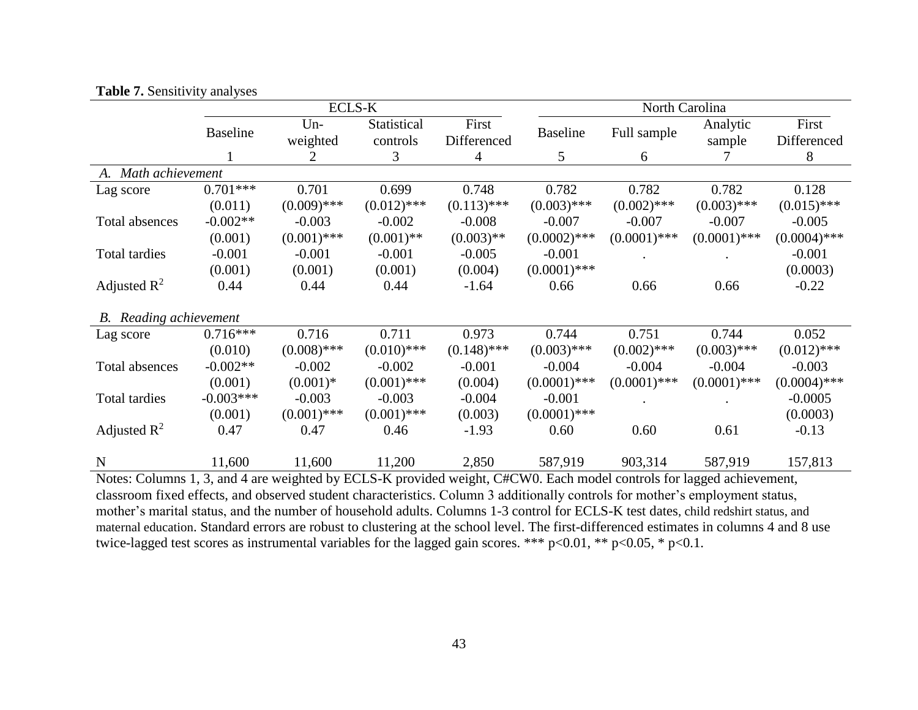#### **Table 7.** Sensitivity analyses

|                               | <b>ECLS-K</b>   |               |               |               | North Carolina  |                |                |                |
|-------------------------------|-----------------|---------------|---------------|---------------|-----------------|----------------|----------------|----------------|
|                               | <b>Baseline</b> | $Un-$         | Statistical   | First         | <b>Baseline</b> | Full sample    | Analytic       | First          |
|                               |                 | weighted      | controls      | Differenced   |                 |                | sample         | Differenced    |
|                               |                 | 2             | 3             | 4             | 5               | 6              |                | 8              |
| A. Math achievement           |                 |               |               |               |                 |                |                |                |
| Lag score                     | $0.701***$      | 0.701         | 0.699         | 0.748         | 0.782           | 0.782          | 0.782          | 0.128          |
|                               | (0.011)         | $(0.009)$ *** | $(0.012)$ *** | $(0.113)$ *** | $(0.003)$ ***   | $(0.002)$ ***  | $(0.003)$ ***  | $(0.015)$ ***  |
| Total absences                | $-0.002**$      | $-0.003$      | $-0.002$      | $-0.008$      | $-0.007$        | $-0.007$       | $-0.007$       | $-0.005$       |
|                               | (0.001)         | $(0.001)$ *** | $(0.001)$ **  | $(0.003)$ **  | $(0.0002)$ ***  | $(0.0001)$ *** | $(0.0001)$ *** | $(0.0004)$ *** |
| Total tardies                 | $-0.001$        | $-0.001$      | $-0.001$      | $-0.005$      | $-0.001$        |                |                | $-0.001$       |
|                               | (0.001)         | (0.001)       | (0.001)       | (0.004)       | $(0.0001)$ ***  |                |                | (0.0003)       |
| Adjusted $\mathbb{R}^2$       | 0.44            | 0.44          | 0.44          | $-1.64$       | 0.66            | 0.66           | 0.66           | $-0.22$        |
|                               |                 |               |               |               |                 |                |                |                |
| <b>B.</b> Reading achievement |                 |               |               |               |                 |                |                |                |
| Lag score                     | $0.716***$      | 0.716         | 0.711         | 0.973         | 0.744           | 0.751          | 0.744          | 0.052          |
|                               | (0.010)         | $(0.008)$ *** | $(0.010)$ *** | $(0.148)$ *** | $(0.003)$ ***   | $(0.002)$ ***  | $(0.003)$ ***  | $(0.012)$ ***  |
| Total absences                | $-0.002**$      | $-0.002$      | $-0.002$      | $-0.001$      | $-0.004$        | $-0.004$       | $-0.004$       | $-0.003$       |
|                               | (0.001)         | $(0.001)*$    | $(0.001)$ *** | (0.004)       | $(0.0001)$ ***  | $(0.0001)$ *** | $(0.0001)$ *** | $(0.0004)$ *** |
| Total tardies                 | $-0.003***$     | $-0.003$      | $-0.003$      | $-0.004$      | $-0.001$        |                |                | $-0.0005$      |
|                               | (0.001)         | $(0.001)$ *** | $(0.001)$ *** | (0.003)       | $(0.0001)$ ***  |                |                | (0.0003)       |
| Adjusted $R^2$                | 0.47            | 0.47          | 0.46          | $-1.93$       | 0.60            | 0.60           | 0.61           | $-0.13$        |
|                               |                 |               |               |               |                 |                |                |                |
| N                             | 11,600          | 11,600        | 11,200        | 2,850         | 587,919         | 903,314        | 587,919        | 157,813        |

Notes: Columns 1, 3, and 4 are weighted by ECLS-K provided weight, C#CW0. Each model controls for lagged achievement, classroom fixed effects, and observed student characteristics. Column 3 additionally controls for mother's employment status, mother's marital status, and the number of household adults. Columns 1-3 control for ECLS-K test dates, child redshirt status, and maternal education. Standard errors are robust to clustering at the school level. The first-differenced estimates in columns 4 and 8 use twice-lagged test scores as instrumental variables for the lagged gain scores. \*\*\* p<0.01, \*\* p<0.05, \* p<0.1.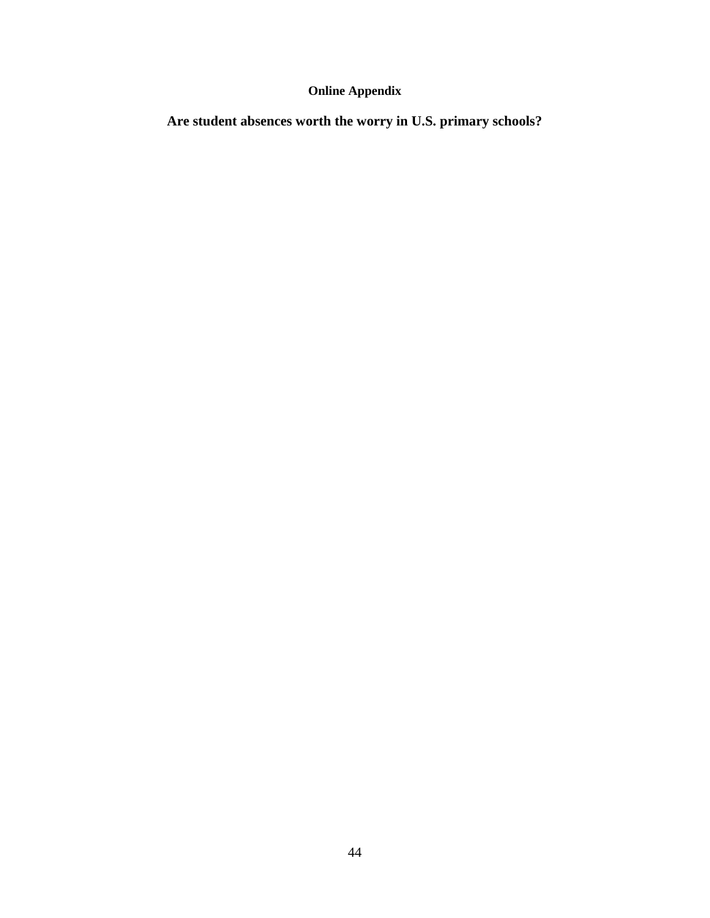## **Online Appendix**

**Are student absences worth the worry in U.S. primary schools?**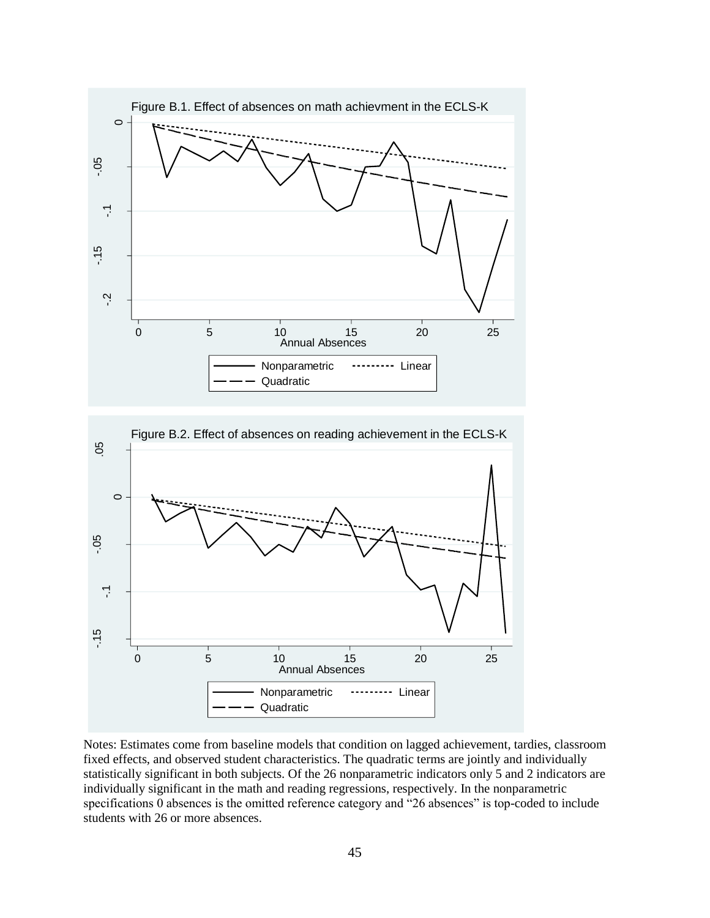



Notes: Estimates come from baseline models that condition on lagged achievement, tardies, classroom fixed effects, and observed student characteristics. The quadratic terms are jointly and individually statistically significant in both subjects. Of the 26 nonparametric indicators only 5 and 2 indicators are individually significant in the math and reading regressions, respectively. In the nonparametric specifications 0 absences is the omitted reference category and "26 absences" is top-coded to include students with 26 or more absences.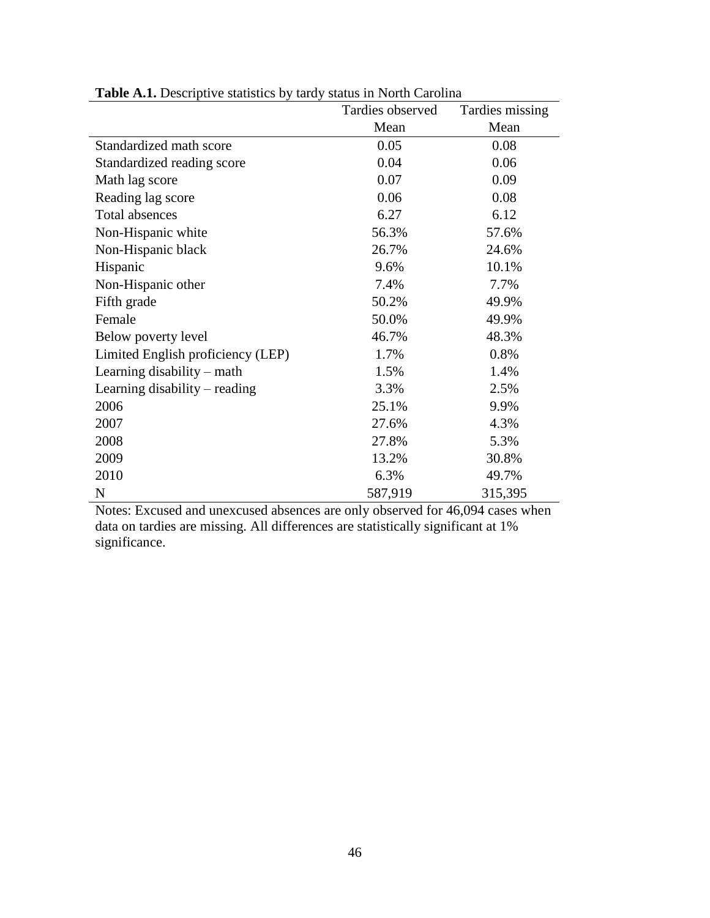|                                   | Tardies observed | Tardies missing |
|-----------------------------------|------------------|-----------------|
|                                   | Mean             | Mean            |
| Standardized math score           | 0.05             | 0.08            |
| Standardized reading score        | 0.04             | 0.06            |
| Math lag score                    | 0.07             | 0.09            |
| Reading lag score                 | 0.06             | 0.08            |
| Total absences                    | 6.27             | 6.12            |
| Non-Hispanic white                | 56.3%            | 57.6%           |
| Non-Hispanic black                | 26.7%            | 24.6%           |
| Hispanic                          | 9.6%             | 10.1%           |
| Non-Hispanic other                | 7.4%             | 7.7%            |
| Fifth grade                       | 50.2%            | 49.9%           |
| Female                            | 50.0%            | 49.9%           |
| Below poverty level               | 46.7%            | 48.3%           |
| Limited English proficiency (LEP) | 1.7%             | 0.8%            |
| Learning disability - math        | 1.5%             | 1.4%            |
| Learning disability – reading     | 3.3%             | 2.5%            |
| 2006                              | 25.1%            | 9.9%            |
| 2007                              | 27.6%            | 4.3%            |
| 2008                              | 27.8%            | 5.3%            |
| 2009                              | 13.2%            | 30.8%           |
| 2010                              | 6.3%             | 49.7%           |
| ${\bf N}$                         | 587,919          | 315,395         |

**Table A.1.** Descriptive statistics by tardy status in North Carolina

Notes: Excused and unexcused absences are only observed for 46,094 cases when data on tardies are missing. All differences are statistically significant at 1% significance.